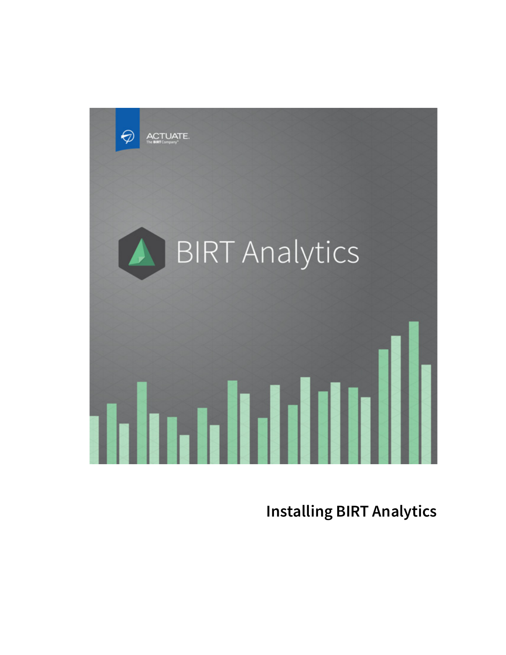

**Installing BIRT Analytics**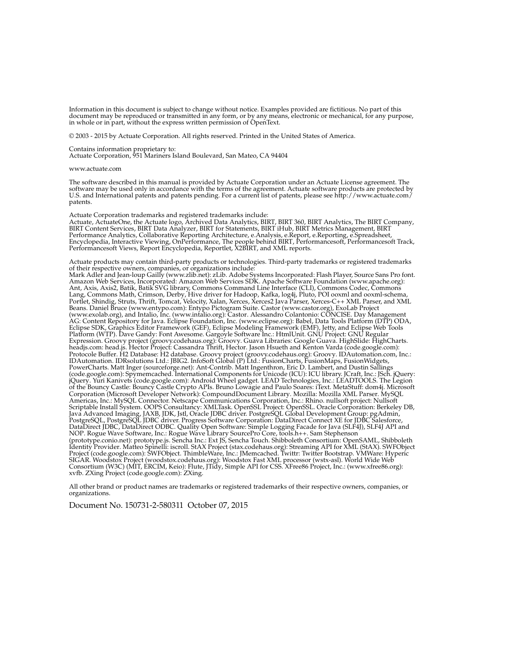Information in this document is subject to change without notice. Examples provided are fictitious. No part of this document may be reproduced or transmitted in any form, or by any means, electronic or mechanical, for any purpose, in whole or in part, without the express written permission of OpenText.

© 2003 - 2015 by Actuate Corporation. All rights reserved. Printed in the United States of America.

Contains information proprietary to: Actuate Corporation, 951 Mariners Island Boulevard, San Mateo, CA 94404

#### www.actuate.com

The software described in this manual is provided by Actuate Corporation under an Actuate License agreement. The software may be used only in accordance with the terms of the agreement. Actuate software products are protected by U.S. and International patents and patents pending. For a current list of patents, please see http://www.actuate.com/ patents.

Actuate Corporation trademarks and registered trademarks include:

Actuate, ActuateOne, the Actuate logo, Archived Data Analytics, BIRT, BIRT 360, BIRT Analytics, The BIRT Company, BIRT Content Services, BIRT Data Analyzer, BIRT for Statements, BIRT iHub, BIRT Metrics Management, BIRT Performance Analytics, Collaborative Reporting Architecture, e.Analysis, e.Report, e.Reporting, e.Spreadsheet, Encyclopedia, Interactive Viewing, OnPerformance, The people behind BIRT, Performancesoft, Performancesoft Track,<br>Performancesoft Views, Report Encyclopedia, Reportlet, X2BIRT, and XML reports.

Actuate products may contain third-party products or technologies. Third-party trademarks or registered trademarks of their respective owners, companies, or organizations include:

Mark Adler and Jean-loup Gailly (www.zlib.net): zLib. Adobe Systems Incorporated: Flash Player, Source Sans Pro font. Amazon Web Services, Incorporated: Amazon Web Services SDK. Apache Software Foundation (www.apache.org): Ant, Axis, Axis2, Batik, Batik SVG library, Commons Command Line Interface (CLI), Commons Codec, Commons Lang, Commons Math, Crimson, Derby, Hive driver for Hadoop, Kafka, log4j, Pluto, POI ooxml and ooxml-schema, Portlet, Shindig, Struts, Thrift, Tomcat, Velocity, Xalan, Xerces, Xerces2 Java Parser, Xerces-C++ XML Parser, and XML Beans. Daniel Bruce (www.entypo.com): Entypo Pictogram Suite. Castor (www.castor.org), ExoLab Project (www.exolab.org), and Intalio, Inc. (www.intalio.org): Castor. Alessandro Colantonio: CONCISE. Day Management AG: Content Repository for Java. Eclipse Foundation, Inc. (www.eclipse.org): Babel, Data Tools Platform (DTP) ODA, Eclipse SDK, Graphics Editor Framework (GEF), Eclipse Modeling Framework (EMF), Jetty, and Eclipse Web Tools Platform (WTP). Dave Gandy: Font Awesome. Gargoyle Software Inc.: HtmlUnit. GNU Project: GNU Regular Expression. Groovy project (groovy.codehaus.org): Groovy. Guava Libraries: Google Guava. HighSlide: HighCharts.<br>headjs.com: head.js. Hector Project: Cassandra Thrift, Hector. Jason Hsueth and Kenton Varda (code.google.com) Protocole Buffer. H2 Database: H2 database. Groovy project (groovy.codehaus.org): Groovy. IDAutomation.com, Inc.: IDAutomation. IDRsolutions Ltd.: JBIG2. InfoSoft Global (P) Ltd.: FusionCharts, FusionMaps, FusionWidgets, PowerCharts. Matt Inger (sourceforge.net): Ant-Contrib. Matt Ingenthron, Eric D. Lambert, and Dustin Sallings (code.google.com): Spymemcached. International Components for Unicode (ICU): ICU library. JCraft, Inc.: JSch. jQuery: jQuery. Yuri Kanivets (code.google.com): Android Wheel gadget. LEAD Technologies, Inc.: LEADTOOLS. The Legion<br>of the Bouncy Castle: Bouncy Castle Crypto APIs. Bruno Lowagie and Paulo Soares: iText. MetaStuff: dom4j. Micros Corporation (Microsoft Developer Network): CompoundDocument Library. Mozilla: Mozilla XML Parser. MySQL Americas, Inc.: MySQL Connector. Netscape Communications Corporation, Inc.: Rhino. nullsoft project: Nullsoft Scriptable Install System. OOPS Consultancy: XMLTask. OpenSSL Project: OpenSSL. Oracle Corporation: Berkeley DB, Java Advanced Imaging, JAXB, JDK, Jstl, Oracle JDBC driver. PostgreSQL Global Development Group: pgAdmin, PostgreSQL, PostgreSQL JDBC driver. Progress Software Corporation: DataDirect Connect XE for JDBC Salesforce, DataDirect JDBC, DataDirect ODBC. Quality Open Software: Simple Logging Facade for Java (SLF4J), SLF4J API and NOP. Rogue Wave Software, Inc.: Rogue Wave Library SourcePro Core, tools.h++. Sam Stephenson (prototype.conio.net): prototype.js. Sencha Inc.: Ext JS, Sencha Touch. Shibboleth Consortium: OpenSAML, Shibboleth Identity Provider. Matteo Spinelli: iscroll. StAX Project (stax.codehaus.org): Streaming API for XML (StAX). SWFObject Project (code.google.com): SWFObject. ThimbleWare, Inc.: JMemcached. Twittr: Twitter Bootstrap. VMWare: Hyperic SIGAR. Woodstox Project (woodstox.codehaus.org): Woodstox Fast XML processor (wstx-asl). World Wide Web Consortium (W3C) (MIT, ERCIM, Keio): Flute, JTidy, Simple API for CSS. XFree86 Project, Inc.: (www.xfree86.org): xvfb. ZXing Project (code.google.com): ZXing.

All other brand or product names are trademarks or registered trademarks of their respective owners, companies, or organizations.

Document No. 150731-2-580311 October 07, 2015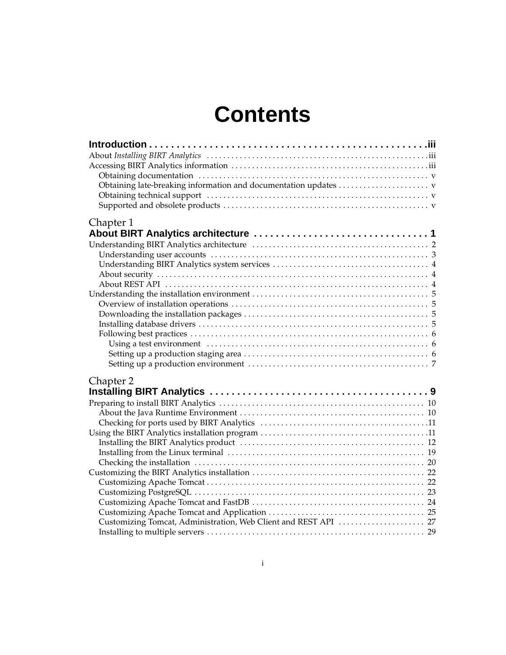# **Contents**

| Chapter 1                                                       |  |
|-----------------------------------------------------------------|--|
|                                                                 |  |
|                                                                 |  |
|                                                                 |  |
|                                                                 |  |
|                                                                 |  |
|                                                                 |  |
|                                                                 |  |
|                                                                 |  |
|                                                                 |  |
|                                                                 |  |
|                                                                 |  |
|                                                                 |  |
|                                                                 |  |
|                                                                 |  |
|                                                                 |  |
| Chapter 2                                                       |  |
|                                                                 |  |
|                                                                 |  |
|                                                                 |  |
|                                                                 |  |
|                                                                 |  |
|                                                                 |  |
|                                                                 |  |
|                                                                 |  |
|                                                                 |  |
|                                                                 |  |
|                                                                 |  |
|                                                                 |  |
|                                                                 |  |
| Customizing Tomcat, Administration, Web Client and REST API  27 |  |
|                                                                 |  |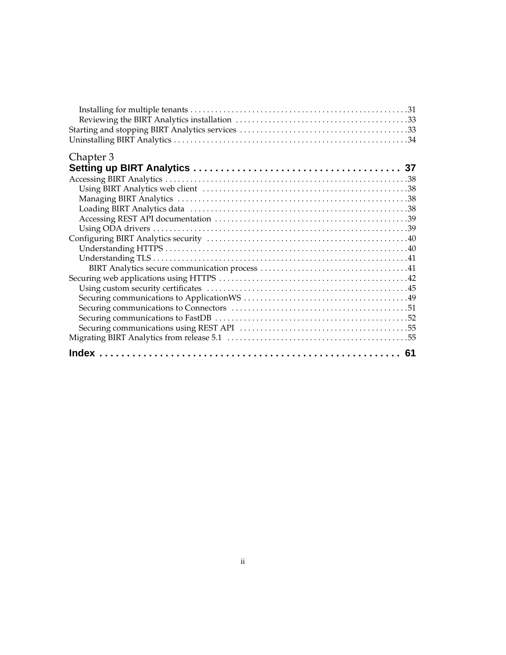| Chapter 3 |  |
|-----------|--|
|           |  |
|           |  |
|           |  |
|           |  |
|           |  |
|           |  |
|           |  |
|           |  |
|           |  |
|           |  |
|           |  |
|           |  |
|           |  |
|           |  |
|           |  |
|           |  |
|           |  |
|           |  |
|           |  |
|           |  |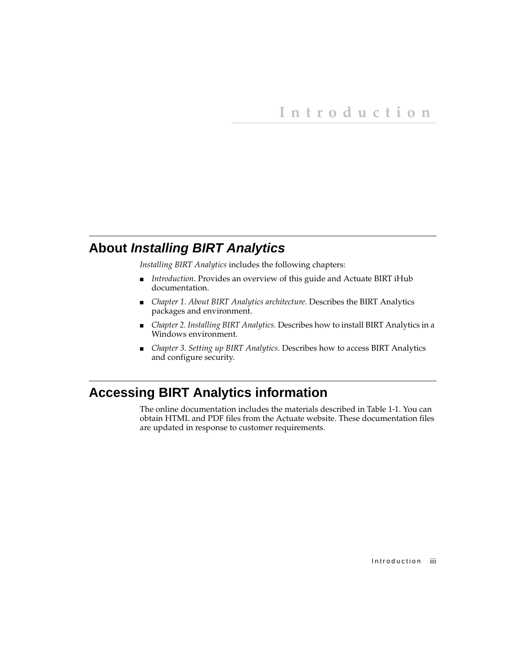# <span id="page-4-1"></span><span id="page-4-0"></span>**About** *Installing BIRT Analytics*

*Installing BIRT Analytics* includes the following chapters:

- *[Introduction](#page-4-0)*. Provides an overview of this guide and Actuate BIRT iHub documentation.
- *[Chapter 1. About BIRT Analytics architecture.](#page-8-2)* Describes the BIRT Analytics packages and environment.
- *[Chapter 2. Installing BIRT Analytics.](#page-16-2)* Describes how to install BIRT Analytics in a Windows environment.
- *[Chapter 3. Setting up BIRT Analytics.](#page-44-2)* Describes how to access BIRT Analytics and configure security.

# <span id="page-4-2"></span>**Accessing BIRT Analytics information**

The online documentation includes the materials described in [Table 1-1.](#page-5-0) You can obtain HTML and PDF files from the Actuate website. These documentation files are updated in response to customer requirements.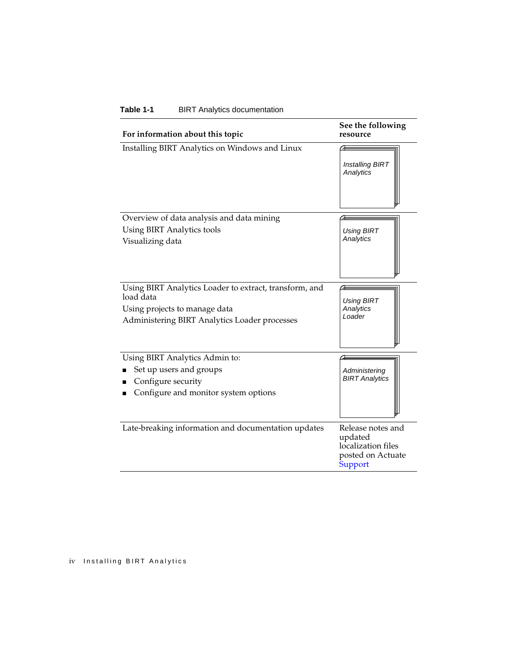| For information about this topic                                               | See the following<br>resource                                                      |
|--------------------------------------------------------------------------------|------------------------------------------------------------------------------------|
| Installing BIRT Analytics on Windows and Linux                                 | <b>Installing BIRT</b><br>Analytics                                                |
| Overview of data analysis and data mining                                      |                                                                                    |
| Using BIRT Analytics tools<br>Visualizing data                                 | <b>Using BIRT</b><br>Analytics                                                     |
| Using BIRT Analytics Loader to extract, transform, and<br>load data            |                                                                                    |
| Using projects to manage data<br>Administering BIRT Analytics Loader processes | <b>Using BIRT</b><br>Analytics<br>Loader                                           |
| Using BIRT Analytics Admin to:                                                 |                                                                                    |
| Set up users and groups                                                        | Administering<br><b>BIRT Analytics</b>                                             |
| Configure security<br>Configure and monitor system options                     |                                                                                    |
| Late-breaking information and documentation updates                            | Release notes and<br>updated<br>localization files<br>posted on Actuate<br>Support |

#### <span id="page-5-0"></span>**Table 1-1** BIRT Analytics documentation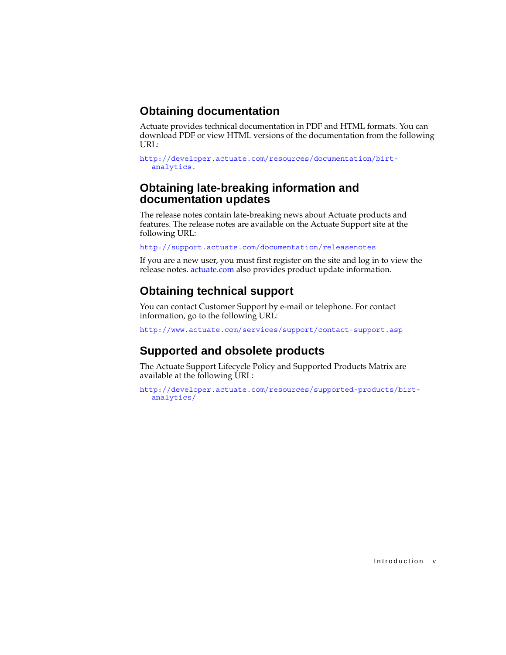# <span id="page-6-0"></span>**Obtaining documentation**

Actuate provides technical documentation in PDF and HTML formats. You can download PDF or view HTML versions of the documentation from the following URL:

```
http://developer.actuate.com/resources/documentation/birt-
  analytics.
```
# <span id="page-6-1"></span>**Obtaining late-breaking information and documentation updates**

The release notes contain late-breaking news about Actuate products and features. The release notes are available on the Actuate Support site at the following URL:

<http://support.actuate.com/documentation/releasenotes>

If you are a new user, you must first register on the site and log in to view the release notes. [actuate.com](http://www.actuate.com) also provides product update information.

# <span id="page-6-2"></span>**Obtaining technical support**

You can contact Customer Support by e-mail or telephone. For contact information, go to the following URL:

<http://www.actuate.com/services/support/contact-support.asp>

# <span id="page-6-3"></span>**Supported and obsolete products**

The Actuate Support Lifecycle Policy and Supported Products Matrix are available at the following URL:

[http://developer.actuate.com/resources/supported-products/birt](http://esupport.actuate.com)analytics/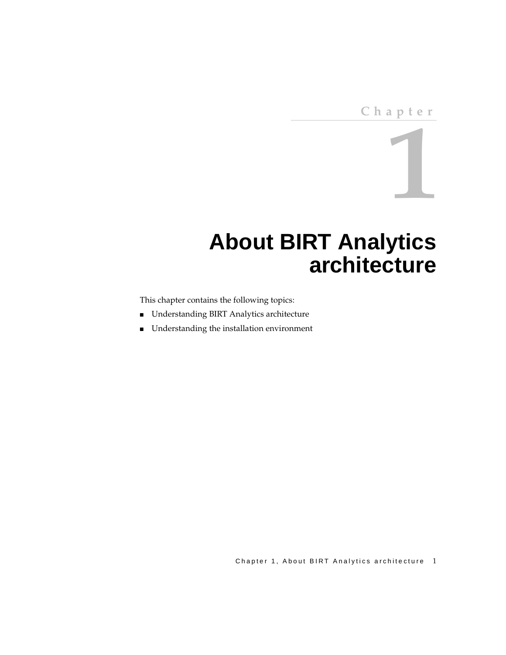**1**

# <span id="page-8-2"></span><span id="page-8-0"></span>**About BIRT Analytics architecture**

<span id="page-8-1"></span>This chapter contains the following topics:

- [Understanding BIRT Analytics architecture](#page-9-0)
- [Understanding the installation environment](#page-12-0)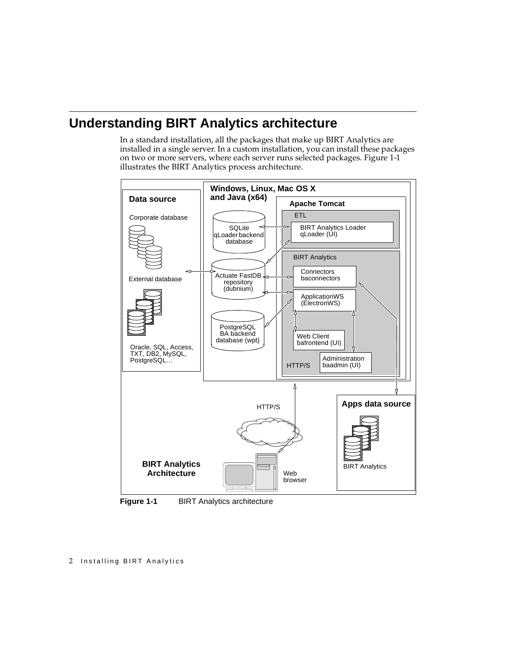# <span id="page-9-0"></span>**Understanding BIRT Analytics architecture**

In a standard installation, all the packages that make up BIRT Analytics are installed in a single server. In a custom installation, you can install these packages on two or more servers, where each server runs selected packages. [Figure 1-1](#page-9-1)  illustrates the BIRT Analytics process architecture.



<span id="page-9-1"></span>**Figure 1-1** BIRT Analytics architecture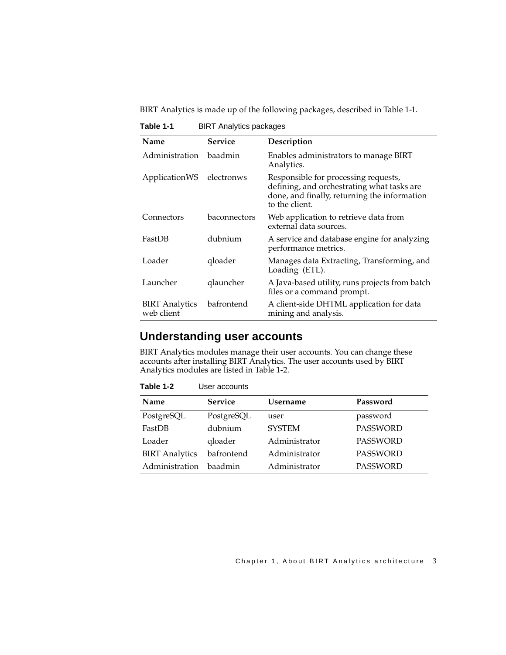BIRT Analytics is made up of the following packages, described in [Table 1-1](#page-10-2).

| Name                                | <b>Service</b> | Description                                                                                                                                          |
|-------------------------------------|----------------|------------------------------------------------------------------------------------------------------------------------------------------------------|
| Administration                      | baadmin        | Enables administrators to manage BIRT<br>Analytics.                                                                                                  |
| ApplicationWS                       | electronws     | Responsible for processing requests,<br>defining, and orchestrating what tasks are<br>done, and finally, returning the information<br>to the client. |
| Connectors                          | baconnectors   | Web application to retrieve data from<br>external data sources.                                                                                      |
| FastDB                              | dubnium        | A service and database engine for analyzing<br>performance metrics.                                                                                  |
| Loader                              | qloader        | Manages data Extracting, Transforming, and<br>Loading (ETL).                                                                                         |
| Launcher                            | qlauncher      | A Java-based utility, runs projects from batch<br>files or a command prompt.                                                                         |
| <b>BIRT</b> Analytics<br>web client | bafrontend     | A client-side DHTML application for data<br>mining and analysis.                                                                                     |

<span id="page-10-2"></span>**Table 1-1** BIRT Analytics packages

## <span id="page-10-0"></span>**Understanding user accounts**

BIRT Analytics modules manage their user accounts. You can change these accounts after installing BIRT Analytics. The user accounts used by BIRT Analytics modules are listed in [Table 1-2.](#page-10-1)

| Name                  | <b>Service</b> | <b>Username</b> | Password        |
|-----------------------|----------------|-----------------|-----------------|
| PostgreSQL            | PostgreSQL     | user            | password        |
| FastDB                | dubnium        | <b>SYSTEM</b>   | <b>PASSWORD</b> |
| Loader                | qloader        | Administrator   | <b>PASSWORD</b> |
| <b>BIRT</b> Analytics | bafrontend     | Administrator   | <b>PASSWORD</b> |
| Administration        | <b>baadmin</b> | Administrator   | <b>PASSWORD</b> |

<span id="page-10-1"></span>**Table 1-2** User accounts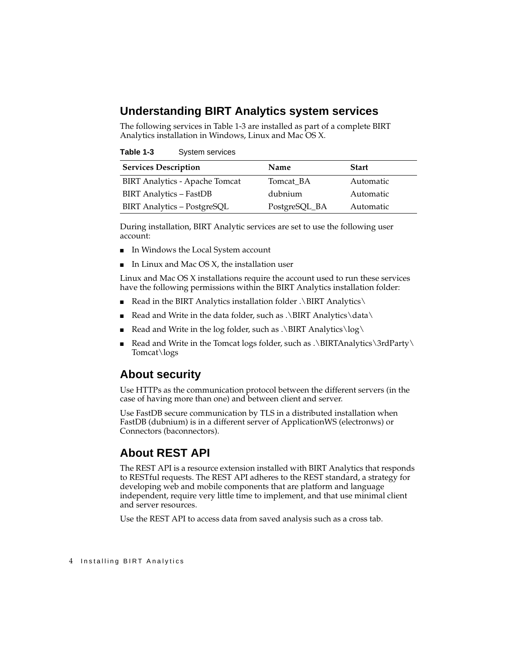# <span id="page-11-0"></span>**Understanding BIRT Analytics system services**

The following services in [Table 1-3](#page-11-3) are installed as part of a complete BIRT Analytics installation in Windows, Linux and Mac OS X.

<span id="page-11-3"></span>

| Table 1-3 | System services |
|-----------|-----------------|
|-----------|-----------------|

| <b>Services Description</b>           | <b>Name</b>   | <b>Start</b> |
|---------------------------------------|---------------|--------------|
| <b>BIRT Analytics - Apache Tomcat</b> | Tomcat BA     | Automatic    |
| <b>BIRT</b> Analytics - FastDB        | dubnium       | Automatic    |
| BIRT Analytics - PostgreSQL           | PostgreSQL_BA | Automatic    |

During installation, BIRT Analytic services are set to use the following user account:

- In Windows the Local System account
- In Linux and Mac OS  $X$ , the installation user

Linux and Mac OS X installations require the account used to run these services have the following permissions within the BIRT Analytics installation folder:

- Read in the BIRT Analytics installation folder . $\Bbb B$ IRT Analytics
- Read and Write in the data folder, such as . $\Bbb B$ IRT Analytics  $\data$
- Read and Write in the log folder, such as . $\Bbb B$ IRT Analytics $\log \sqrt{ }$
- Read and Write in the Tomcat logs folder, such as . $\Bbb B$ IRTAnalytics $\Bbb B$ rdParty Tomcat\logs

# <span id="page-11-1"></span>**About security**

Use HTTPs as the communication protocol between the different servers (in the case of having more than one) and between client and server.

Use FastDB secure communication by TLS in a distributed installation when FastDB (dubnium) is in a different server of ApplicationWS (electronws) or Connectors (baconnectors).

# <span id="page-11-2"></span>**About REST API**

The REST API is a resource extension installed with BIRT Analytics that responds to RESTful requests. The REST API adheres to the REST standard, a strategy for developing web and mobile components that are platform and language independent, require very little time to implement, and that use minimal client and server resources.

Use the REST API to access data from saved analysis such as a cross tab.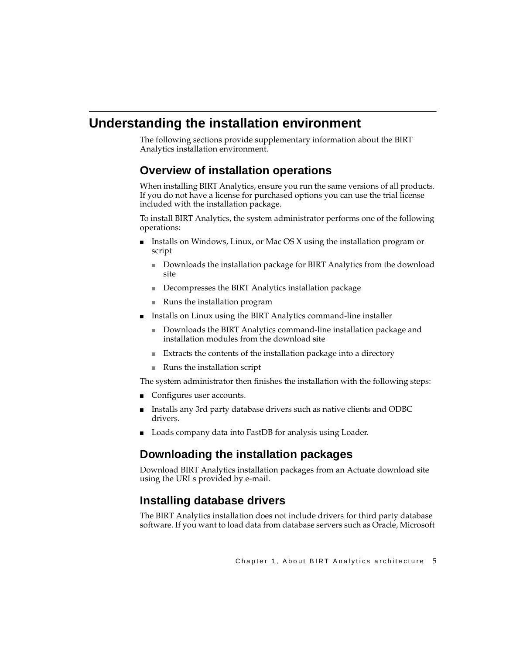# <span id="page-12-0"></span>**Understanding the installation environment**

The following sections provide supplementary information about the BIRT Analytics installation environment.

# <span id="page-12-1"></span>**Overview of installation operations**

When installing BIRT Analytics, ensure you run the same versions of all products. If you do not have a license for purchased options you can use the trial license included with the installation package.

To install BIRT Analytics, the system administrator performs one of the following operations:

- Installs on Windows, Linux, or Mac OS X using the installation program or script
	- Downloads the installation package for BIRT Analytics from the download site
	- Decompresses the BIRT Analytics installation package
	- Runs the installation program
- Installs on Linux using the BIRT Analytics command-line installer
	- Downloads the BIRT Analytics command-line installation package and installation modules from the download site
	- Extracts the contents of the installation package into a directory
	- Runs the installation script

The system administrator then finishes the installation with the following steps:

- Configures user accounts.
- Installs any 3rd party database drivers such as native clients and ODBC drivers.
- Loads company data into FastDB for analysis using Loader.

# <span id="page-12-2"></span>**Downloading the installation packages**

Download BIRT Analytics installation packages from an Actuate download site using the URLs provided by e-mail.

# <span id="page-12-3"></span>**Installing database drivers**

The BIRT Analytics installation does not include drivers for third party database software. If you want to load data from database servers such as Oracle, Microsoft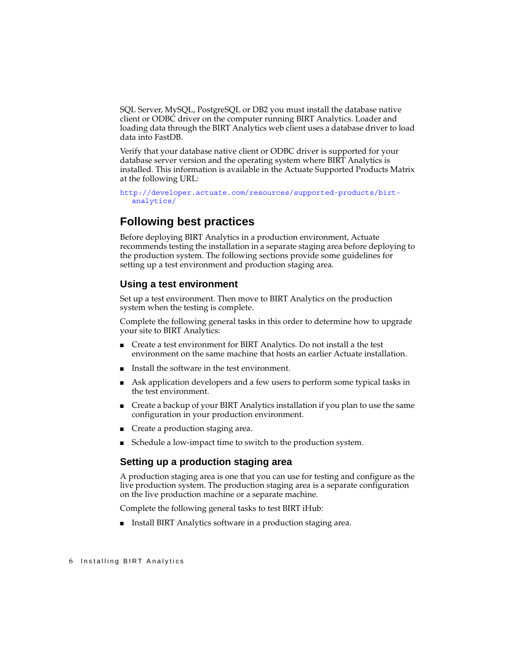SQL Server, MySQL, PostgreSQL or DB2 you must install the database native client or ODBC driver on the computer running BIRT Analytics. Loader and loading data through the BIRT Analytics web client uses a database driver to load data into FastDB.

Verify that your database native client or ODBC driver is supported for your database server version and the operating system where BIRT Analytics is installed. This information is available in the Actuate Supported Products Matrix at the following URL:

[http://developer.actuate.com/resources/supported-products/birt](http://esupport.actuate.com)[analytics/](http://esupport.actuate.com)

## <span id="page-13-0"></span>**Following best practices**

Before deploying BIRT Analytics in a production environment, Actuate recommends testing the installation in a separate staging area before deploying to the production system. The following sections provide some guidelines for setting up a test environment and production staging area.

#### <span id="page-13-1"></span>**Using a test environment**

Set up a test environment. Then move to BIRT Analytics on the production system when the testing is complete.

Complete the following general tasks in this order to determine how to upgrade your site to BIRT Analytics:

- Create a test environment for BIRT Analytics. Do not install a the test environment on the same machine that hosts an earlier Actuate installation.
- Install the software in the test environment.
- Ask application developers and a few users to perform some typical tasks in the test environment.
- Create a backup of your BIRT Analytics installation if you plan to use the same configuration in your production environment.
- Create a production staging area.
- Schedule a low-impact time to switch to the production system.

#### <span id="page-13-2"></span>**Setting up a production staging area**

A production staging area is one that you can use for testing and configure as the live production system. The production staging area is a separate configuration on the live production machine or a separate machine.

Complete the following general tasks to test BIRT iHub:

■ Install BIRT Analytics software in a production staging area.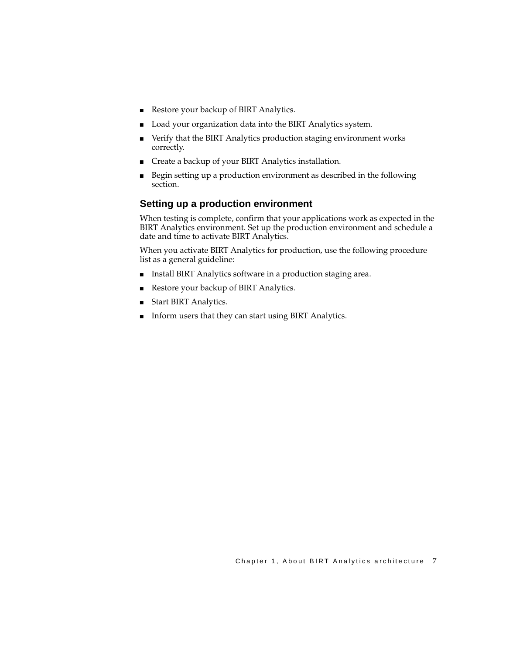- Restore your backup of BIRT Analytics.
- Load your organization data into the BIRT Analytics system.
- Verify that the BIRT Analytics production staging environment works correctly.
- Create a backup of your BIRT Analytics installation.
- Begin setting up a production environment as described in the following section.

#### <span id="page-14-0"></span>**Setting up a production environment**

When testing is complete, confirm that your applications work as expected in the BIRT Analytics environment. Set up the production environment and schedule a date and time to activate BIRT Analytics.

When you activate BIRT Analytics for production, use the following procedure list as a general guideline:

- Install BIRT Analytics software in a production staging area.
- Restore your backup of BIRT Analytics.
- Start BIRT Analytics.
- Inform users that they can start using BIRT Analytics.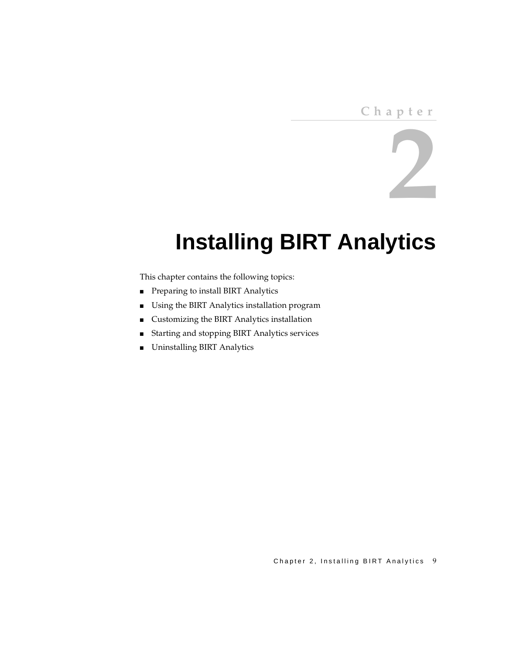# **Chapter**

# **2**

# <span id="page-16-2"></span><span id="page-16-1"></span><span id="page-16-0"></span>**Installing BIRT Analytics**

This chapter contains the following topics:

- [Preparing to install BIRT Analytics](#page-17-0)
- [Using the BIRT Analytics installation program](#page-18-1)
- [Customizing the BIRT Analytics installation](#page-29-0)
- [Starting and stopping BIRT Analytics services](#page-40-1)
- [Uninstalling BIRT Analytics](#page-41-0)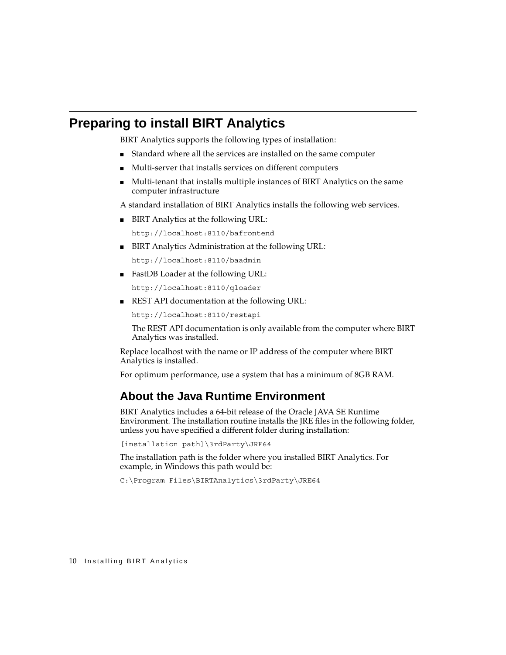# <span id="page-17-0"></span>**Preparing to install BIRT Analytics**

BIRT Analytics supports the following types of installation:

- Standard where all the services are installed on the same computer
- Multi-server that installs services on different computers
- Multi-tenant that installs multiple instances of BIRT Analytics on the same computer infrastructure

A standard installation of BIRT Analytics installs the following web services.

BIRT Analytics at the following URL:

http://localhost:8110/bafrontend

■ BIRT Analytics Administration at the following URL:

http://localhost:8110/baadmin

■ FastDB Loader at the following URL:

http://localhost:8110/qloader

■ REST API documentation at the following URL:

http://localhost:8110/restapi

The REST API documentation is only available from the computer where BIRT Analytics was installed.

Replace localhost with the name or IP address of the computer where BIRT Analytics is installed.

For optimum performance, use a system that has a minimum of 8GB RAM.

# <span id="page-17-1"></span>**About the Java Runtime Environment**

BIRT Analytics includes a 64-bit release of the Oracle JAVA SE Runtime Environment. The installation routine installs the JRE files in the following folder, unless you have specified a different folder during installation:

```
[installation path]\3rdParty\JRE64
```
The installation path is the folder where you installed BIRT Analytics. For example, in Windows this path would be:

C:\Program Files\BIRTAnalytics\3rdParty\JRE64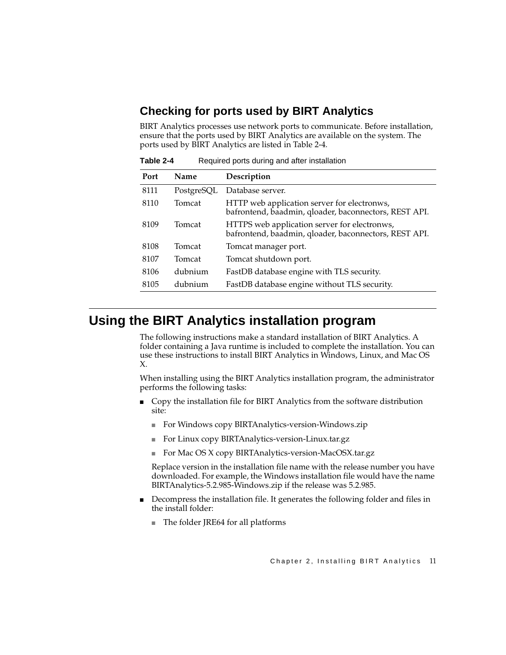# <span id="page-18-0"></span>**Checking for ports used by BIRT Analytics**

BIRT Analytics processes use network ports to communicate. Before installation, ensure that the ports used by BIRT Analytics are available on the system. The ports used by BIRT Analytics are listed in [Table 2-4](#page-18-2).

| Port | Name       | Description                                                                                           |
|------|------------|-------------------------------------------------------------------------------------------------------|
| 8111 | PostgreSQL | Database server.                                                                                      |
| 8110 | Tomcat     | HTTP web application server for electronws,<br>bafrontend, baadmin, qloader, baconnectors, REST API.  |
| 8109 | Tomcat     | HTTPS web application server for electronws,<br>bafrontend, baadmin, qloader, baconnectors, REST API. |
| 8108 | Tomcat     | Tomcat manager port.                                                                                  |
| 8107 | Tomcat     | Tomcat shutdown port.                                                                                 |
| 8106 | dubnium    | FastDB database engine with TLS security.                                                             |
| 8105 | dubnium    | FastDB database engine without TLS security.                                                          |

<span id="page-18-2"></span>**Table 2-4** Required ports during and after installation

# <span id="page-18-1"></span>**Using the BIRT Analytics installation program**

The following instructions make a standard installation of BIRT Analytics. A folder containing a Java runtime is included to complete the installation. You can use these instructions to install BIRT Analytics in Windows, Linux, and Mac OS X.

When installing using the BIRT Analytics installation program, the administrator performs the following tasks:

- Copy the installation file for BIRT Analytics from the software distribution site:
	- For Windows copy BIRTAnalytics-version-Windows.zip
	- For Linux copy BIRTAnalytics-version-Linux.tar.gz
	- For Mac OS X copy BIRTAnalytics-version-MacOSX.tar.gz

Replace version in the installation file name with the release number you have downloaded. For example, the Windows installation file would have the name BIRTAnalytics-5.2.985-Windows.zip if the release was 5.2.985.

- Decompress the installation file. It generates the following folder and files in the install folder:
	- The folder JRE64 for all platforms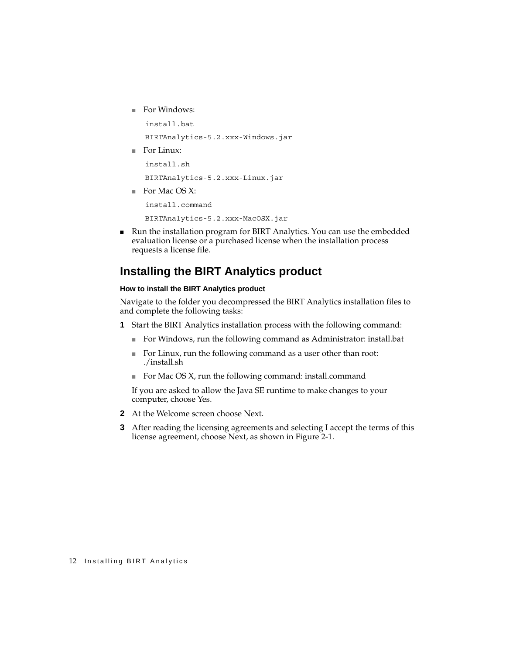■ For Windows:

```
 install.bat
```
BIRTAnalytics-5.2.xxx-Windows.jar

■ For Linux:

 install.sh BIRTAnalytics-5.2.xxx-Linux.jar

■ For Mac OS X:

install.command

BIRTAnalytics-5.2.xxx-MacOSX.jar

■ Run the installation program for BIRT Analytics. You can use the embedded evaluation license or a purchased license when the installation process requests a license file.

# <span id="page-19-0"></span>**Installing the BIRT Analytics product**

#### **How to install the BIRT Analytics product**

Navigate to the folder you decompressed the BIRT Analytics installation files to and complete the following tasks:

- **1** Start the BIRT Analytics installation process with the following command:
	- For Windows, run the following command as Administrator: install.bat
	- For Linux, run the following command as a user other than root: ./install.sh
	- For Mac OS X, run the following command: install.command

If you are asked to allow the Java SE runtime to make changes to your computer, choose Yes.

- **2** At the Welcome screen choose Next.
- **3** After reading the licensing agreements and selecting I accept the terms of this license agreement, choose Next, as shown in [Figure 2-1](#page-20-0).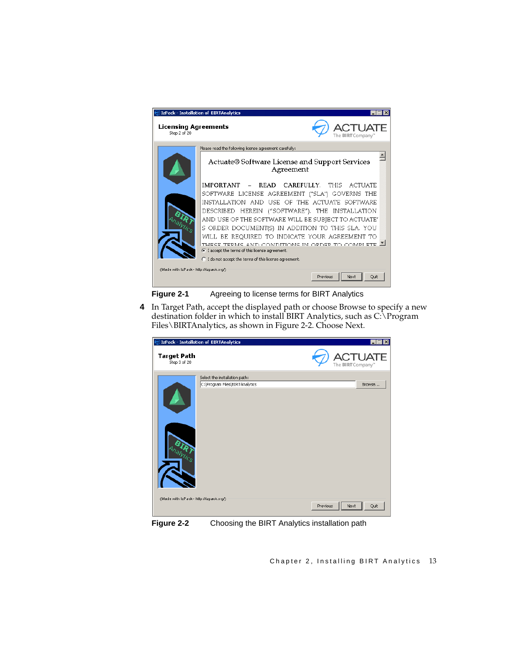

- <span id="page-20-0"></span>**Figure 2-1** Agreeing to license terms for BIRT Analytics
- **4** In Target Path, accept the displayed path or choose Browse to specify a new destination folder in which to install BIRT Analytics, such as C:\Program Files\BIRTAnalytics, as shown in [Figure 2-2.](#page-20-1) Choose Next.

<span id="page-20-1"></span>

**Figure 2-2** Choosing the BIRT Analytics installation path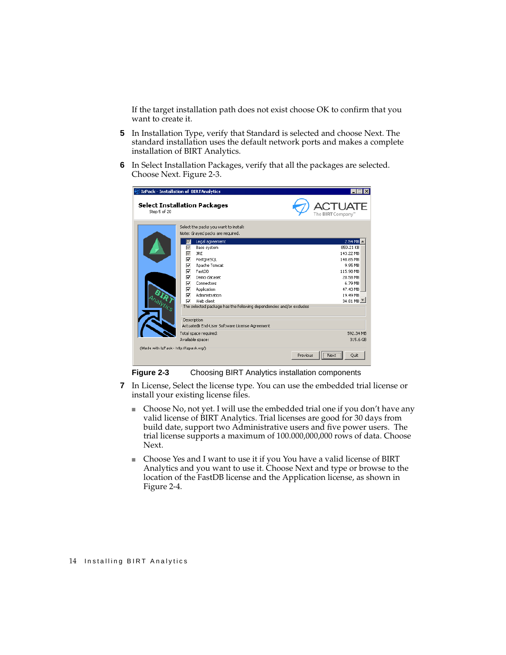If the target installation path does not exist choose OK to confirm that you want to create it.

- **5** In Installation Type, verify that Standard is selected and choose Next. The standard installation uses the default network ports and makes a complete installation of BIRT Analytics.
- **6** In Select Installation Packages, verify that all the packages are selected. Choose Next. [Figure 2-3.](#page-21-0)

| E IzPack - Installation of BIRTAnalytics            |                                                                                                                                                                    |                                                                     | $\times$                                                                                                                          |
|-----------------------------------------------------|--------------------------------------------------------------------------------------------------------------------------------------------------------------------|---------------------------------------------------------------------|-----------------------------------------------------------------------------------------------------------------------------------|
| <b>Select Installation Packages</b><br>Step 5 of 20 |                                                                                                                                                                    |                                                                     | <b>CTUATE</b><br>The BIRT Company"                                                                                                |
|                                                     | Select the packs you want to install:<br>Note: Grayed packs are required.                                                                                          |                                                                     |                                                                                                                                   |
| ⊽<br>⊽<br>⊽<br>⊽<br>⊽<br>ঢ়<br>⊽<br>⊽<br>⊽<br>М     | Legal agreement<br>Base system<br><b>JRE</b><br>PostgreSQL<br>Apache Tomcat<br>FastDB<br>Demo dataset<br>Connectors<br>Application<br>Administration<br>Web client | The selected package has the following dependencies and/or excludes | 2.54 MB<br>859.21 KB<br>143.22 MB<br>148.65 MB<br>9.95 MB<br>115.98 MB<br>20.58 MB<br>6.79 MB<br>47.43 MB<br>19.49 MB<br>34.81 MB |
|                                                     | Description<br>Actuate® End-User Software License Agreement                                                                                                        |                                                                     |                                                                                                                                   |
| (Made with IzPack - http://izpack.org/)             | Total space required:<br>Available space:                                                                                                                          |                                                                     | 592.34 MB<br>315.6 GB                                                                                                             |
|                                                     |                                                                                                                                                                    | Previous                                                            | .<br>Ouit<br>Next<br>                                                                                                             |

<span id="page-21-0"></span>**Figure 2-3** Choosing BIRT Analytics installation components

- **7** In License, Select the license type. You can use the embedded trial license or install your existing license files.
	- Choose No, not yet. I will use the embedded trial one if you don't have any valid license of BIRT Analytics. Trial licenses are good for 30 days from build date, support two Administrative users and five power users. The trial license supports a maximum of 100.000,000,000 rows of data. Choose Next.
	- Choose Yes and I want to use it if you You have a valid license of BIRT Analytics and you want to use it. Choose Next and type or browse to the location of the FastDB license and the Application license, as shown in [Figure 2-4](#page-22-0).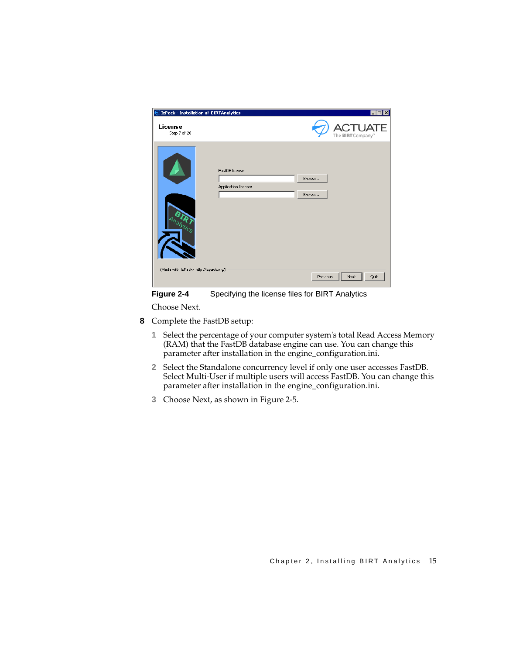| $\circledcirc$ IzPack - Installation of <code>BIRTAnalytics</code> |                                         | $ \Box$ $\times$                          |
|--------------------------------------------------------------------|-----------------------------------------|-------------------------------------------|
| License<br>Step 7 of 20                                            |                                         | <b>CTUATE</b><br>The <b>BIRT</b> Company" |
| Analytics<br>(Made with IzPack - http://izpack.org/)               | FastDB license:<br>Application license: | Browse<br>Browse                          |
|                                                                    |                                         | Quit<br>Next<br>Previous                  |

<span id="page-22-0"></span>**Figure 2-4** Specifying the license files for BIRT Analytics

Choose Next.

- **8** Complete the FastDB setup:
	- **1** Select the percentage of your computer system's total Read Access Memory (RAM) that the FastDB database engine can use. You can change this parameter after installation in the engine\_configuration.ini.
	- **2** Select the Standalone concurrency level if only one user accesses FastDB. Select Multi-User if multiple users will access FastDB. You can change this parameter after installation in the engine\_configuration.ini.
	- **3** Choose Next, as shown in [Figure 2-5](#page-23-0).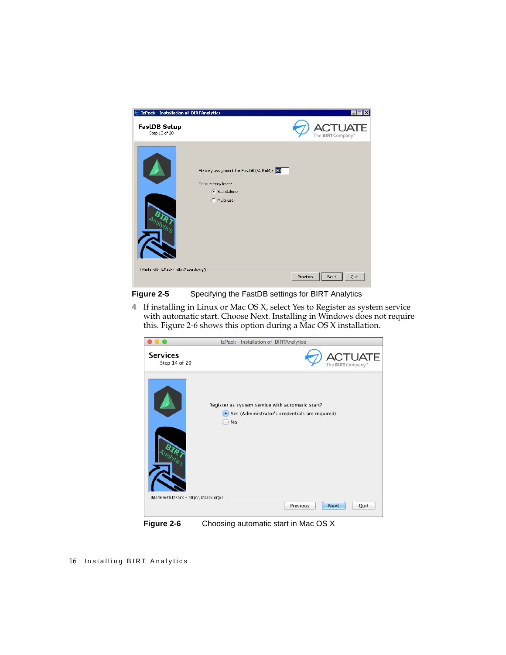| $\odot$ IzPack - Installation of BIRTAnalytics    |                                                                                                | $\Box$ $\Box$ $\times$          |
|---------------------------------------------------|------------------------------------------------------------------------------------------------|---------------------------------|
| <b>FastDB Setup</b><br>Step 13 of 20              |                                                                                                | <b>TUA</b><br>The BIRT Company" |
| AMILGS<br>(Made with IzPack - http://izpack.org/) | Memory assignment for FastDB (% RAM): 30<br>Concurrency level:<br>G Standalone<br>C Multi-user |                                 |
|                                                   |                                                                                                | Quit<br>Next<br>Previous        |

<span id="page-23-0"></span>

**4** If installing in Linux or Mac OS X, select Yes to Register as system service with automatic start. Choose Next. Installing in Windows does not require this. [Figure 2-6](#page-23-1) shows this option during a Mac OS X installation.

<span id="page-23-1"></span>

**Figure 2-6** Choosing automatic start in Mac OS X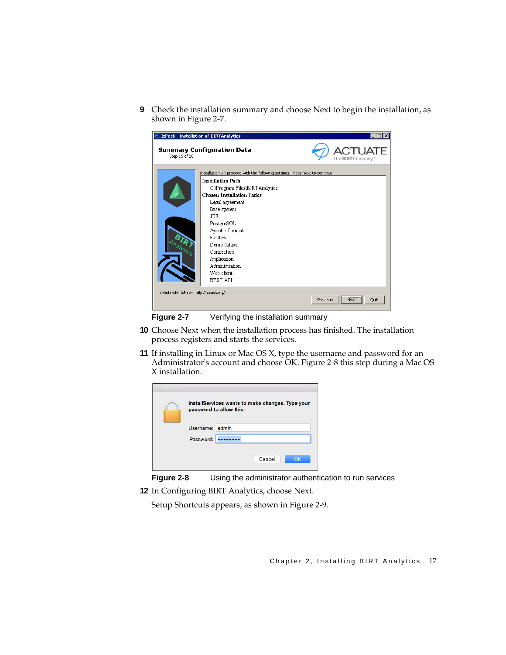**9** Check the installation summary and choose Next to begin the installation, as shown in [Figure 2-7](#page-24-0).

| DIzPack - Installation of BIRTAnalytics |                                                                                |                                         |
|-----------------------------------------|--------------------------------------------------------------------------------|-----------------------------------------|
| Step 15 of 20                           | <b>Summary Configuration Data</b>                                              | <b>UATE</b><br>The <b>BIRT</b> Company" |
|                                         | Installation will proceed with the following settings. Press Next to continue. |                                         |
|                                         | <b>Installation Path</b><br>C:\Program Files\BIRTAnalytics                     |                                         |
|                                         | <b>Chosen Installation Packs</b>                                               |                                         |
|                                         | Legal agreement                                                                |                                         |
|                                         | Base system                                                                    |                                         |
|                                         | <b>JRE</b>                                                                     |                                         |
|                                         | PostgreSQL                                                                     |                                         |
|                                         | Apache Tomcat                                                                  |                                         |
|                                         | FastDB                                                                         |                                         |
|                                         | Demo dataset                                                                   |                                         |
|                                         | Connectors                                                                     |                                         |
|                                         | Application                                                                    |                                         |
|                                         | Administration                                                                 |                                         |
|                                         | Web client                                                                     |                                         |
|                                         | REST API                                                                       |                                         |
| (Made with IzPack - http://izpack.org/) |                                                                                |                                         |
|                                         |                                                                                | Quit<br>Next<br>Previous                |

<span id="page-24-0"></span>

- **10** Choose Next when the installation process has finished. The installation process registers and starts the services.
- **11** If installing in Linux or Mac OS X, type the username and password for an Administrator's account and choose OK. [Figure 2-8](#page-24-1) this step during a Mac OS X installation.

|                 | installServices wants to make changes. Type your<br>password to allow this. |
|-----------------|-----------------------------------------------------------------------------|
| Username: admin |                                                                             |
| Password:       |                                                                             |
|                 | Cancel<br>OK                                                                |

<span id="page-24-1"></span>

**12** In Configuring BIRT Analytics, choose Next.

Setup Shortcuts appears, as shown in [Figure 2-9](#page-25-0).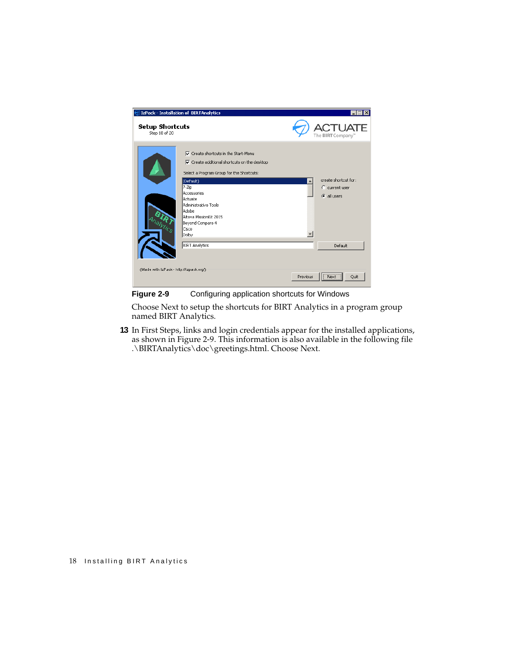

**Figure 2-9** Configuring application shortcuts for Windows

<span id="page-25-0"></span>Choose Next to setup the shortcuts for BIRT Analytics in a program group named BIRT Analytics.

**13** In First Steps, links and login credentials appear for the installed applications, as shown in [Figure 2-9](#page-25-0). This information is also available in the following file .\BIRTAnalytics\doc\greetings.html. Choose Next.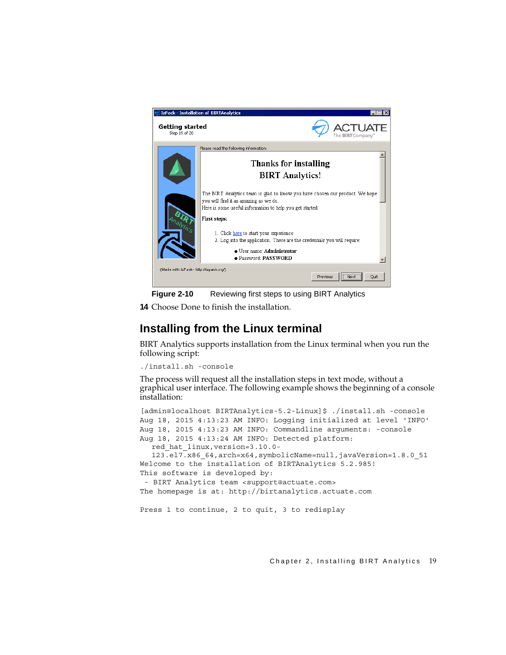

**Figure 2-10** Reviewing first steps to using BIRT Analytics

**14** Choose Done to finish the installation.

# <span id="page-26-0"></span>**Installing from the Linux terminal**

BIRT Analytics supports installation from the Linux terminal when you run the following script:

```
./install.sh -console
```
The process will request all the installation steps in text mode, without a graphical user interface. The following example shows the beginning of a console installation:

```
[admin@localhost BIRTAnalytics-5.2-Linux]$ ./install.sh -console
Aug 18, 2015 4:13:23 AM INFO: Logging initialized at level 'INFO'
Aug 18, 2015 4:13:23 AM INFO: Commandline arguments: -console 
Aug 18, 2015 4:13:24 AM INFO: Detected platform: 
  red_hat_linux,version=3.10.0-
  123.el7.x86_64,arch=x64,symbolicName=null,javaVersion=1.8.0_51
Welcome to the installation of BIRTAnalytics 5.2.985!
This software is developed by: 
  - BIRT Analytics team <support@actuate.com>
The homepage is at: http://birtanalytics.actuate.com
Press 1 to continue, 2 to quit, 3 to redisplay
```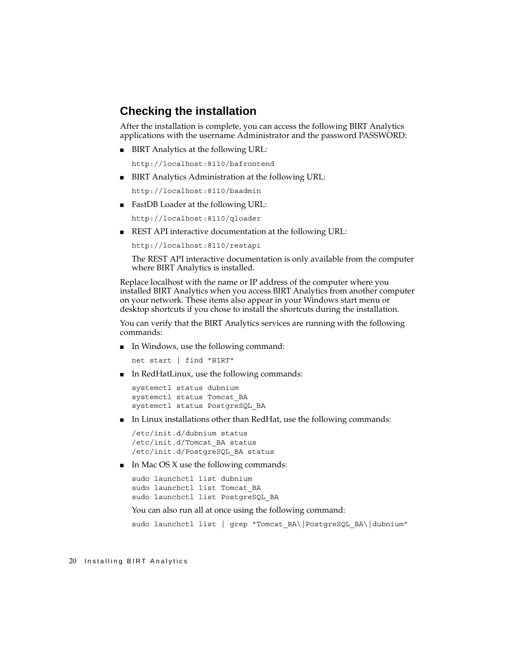## <span id="page-27-0"></span>**Checking the installation**

After the installation is complete, you can access the following BIRT Analytics applications with the username Administrator and the password PASSWORD:

■ BIRT Analytics at the following URL:

http://localhost:8110/bafrontend

■ BIRT Analytics Administration at the following URL:

http://localhost:8110/baadmin

■ FastDB Loader at the following URL:

http://localhost:8110/qloader

■ REST API interactive documentation at the following URL:

```
http://localhost:8110/restapi
```
The REST API interactive documentation is only available from the computer where BIRT Analytics is installed.

Replace localhost with the name or IP address of the computer where you installed BIRT Analytics when you access BIRT Analytics from another computer on your network. These items also appear in your Windows start menu or desktop shortcuts if you chose to install the shortcuts during the installation.

You can verify that the BIRT Analytics services are running with the following commands:

■ In Windows, use the following command:

net start | find "BIRT"

■ In RedHatLinux, use the following commands:

```
systemctl status dubnium
systemctl status Tomcat_BA
systemctl status PostgreSQL_BA
```
■ In Linux installations other than RedHat, use the following commands:

```
/etc/init.d/dubnium status
/etc/init.d/Tomcat_BA status
/etc/init.d/PostgreSQL_BA status
```
 $\blacksquare$  In Mac OS X use the following commands:

```
sudo launchctl list dubnium
sudo launchctl list Tomcat_BA
sudo launchctl list PostgreSQL_BA
```
You can also run all at once using the following command:

sudo launchctl list | grep "Tomcat BA\|PostgreSQL BA\|dubnium"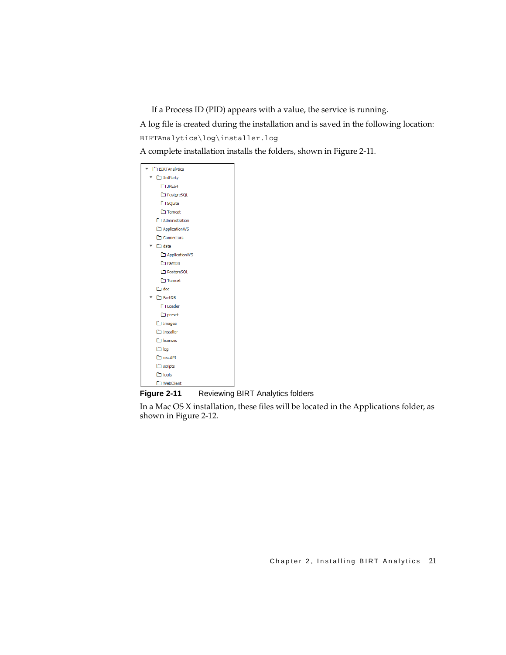If a Process ID (PID) appears with a value, the service is running.

A log file is created during the installation and is saved in the following location: BIRTAnalytics\log\installer.log

A complete installation installs the folders, shown in [Figure 2-11.](#page-28-0)

| <b>BIRTAnalytics</b> |
|----------------------|
| 3rdParty             |
| <b>CD JRE64</b>      |
| PostgreSQL           |
| <b>C</b> SQLite      |
| Tomcat               |
| Administration       |
| ApplicationWS        |
| Connectors           |
| $\square$ data       |
| ApplicationWS        |
| FastDB               |
| PostgreSQL           |
| □ Tomcat             |
| $\square$ doc        |
| □ FastDB             |
| Loader               |
| $\Box$ preset        |
| $\Box$ Images        |
| $\Box$ Installer     |
| licenses             |
| $\square$ log        |
| □ restAPI            |
| $\Box$ scripts       |
| $\square$ tools      |
| WebClient            |

<span id="page-28-0"></span>**Figure 2-11** Reviewing BIRT Analytics folders

In a Mac OS X installation, these files will be located in the Applications folder, as shown in [Figure 2-12](#page-29-2).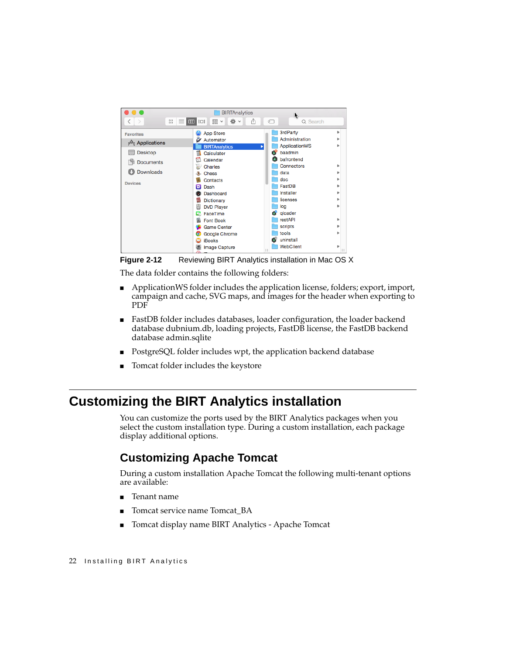

**Figure 2-12** Reviewing BIRT Analytics installation in Mac OS X

<span id="page-29-2"></span>The data folder contains the following folders:

- ApplicationWS folder includes the application license, folders; export, import, campaign and cache, SVG maps, and images for the header when exporting to PDF
- FastDB folder includes databases, loader configuration, the loader backend database dubnium.db, loading projects, FastDB license, the FastDB backend database admin.sqlite
- PostgreSQL folder includes wpt, the application backend database
- Tomcat folder includes the keystore

# <span id="page-29-0"></span>**Customizing the BIRT Analytics installation**

You can customize the ports used by the BIRT Analytics packages when you select the custom installation type. During a custom installation, each package display additional options.

# <span id="page-29-1"></span>**Customizing Apache Tomcat**

During a custom installation Apache Tomcat the following multi-tenant options are available:

- Tenant name
- Tomcat service name Tomcat\_BA
- Tomcat display name BIRT Analytics Apache Tomcat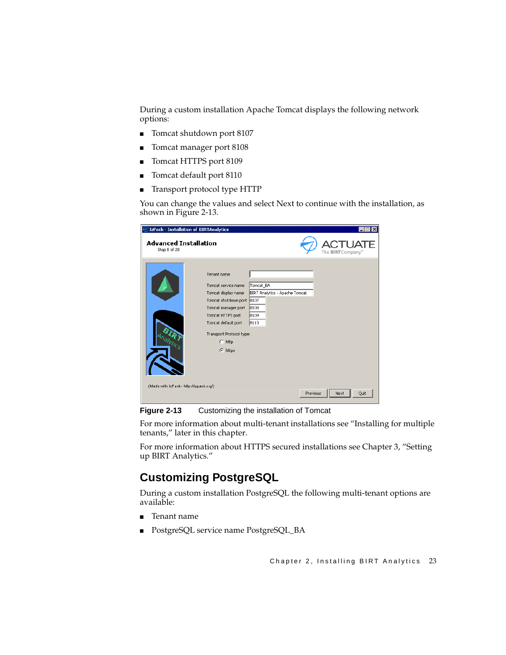During a custom installation Apache Tomcat displays the following network options:

- Tomcat shutdown port 8107
- Tomcat manager port 8108
- Tomcat HTTPS port 8109
- Tomcat default port 8110
- Transport protocol type HTTP

You can change the values and select Next to continue with the installation, as shown in [Figure 2-13](#page-30-1).

| IzPack - Installation of BIRTAnalytics       |                                                                                                                                                                                                                |                                                                     | lx<br>- 101              |
|----------------------------------------------|----------------------------------------------------------------------------------------------------------------------------------------------------------------------------------------------------------------|---------------------------------------------------------------------|--------------------------|
| <b>Advanced Installation</b><br>Step 8 of 20 |                                                                                                                                                                                                                |                                                                     | The <b>BIRT</b> Company" |
|                                              | Tenant name<br>Tomcat service name<br>Tomcat display name<br>Tomcat shutdown port 8107<br>Tomcat manager port<br>Tomcat HTTPS port<br>Tomcat default port<br>Transport Protocol type:<br>http<br>C.<br>G https | Tomcat BA<br>BIRT Analytics - Apache Tomcat<br>8108<br>8109<br>8110 |                          |
| (Made with IzPack - http://izpack.org/)      |                                                                                                                                                                                                                | Previous                                                            | Quit<br>Next             |

<span id="page-30-1"></span>**Figure 2-13** Customizing the installation of Tomcat

For more information about multi-tenant installations see ["Installing for multiple](#page-38-0)  [tenants,"](#page-38-0) later in this chapter.

For more information about HTTPS secured installations see [Chapter 3, "Setting](#page-44-2)  [up BIRT Analytics."](#page-44-2)

# <span id="page-30-0"></span>**Customizing PostgreSQL**

During a custom installation PostgreSQL the following multi-tenant options are available:

- Tenant name
- PostgreSQL service name PostgreSQL\_BA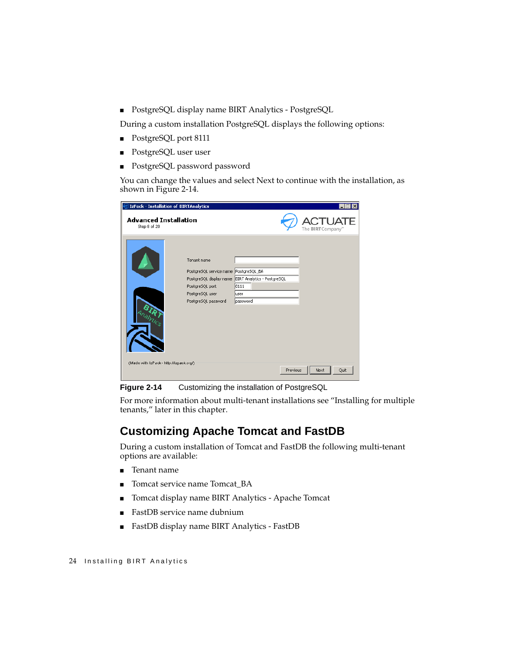■ PostgreSQL display name BIRT Analytics - PostgreSQL

During a custom installation PostgreSQL displays the following options:

- PostgreSQL port 8111
- PostgreSQL user user
- PostgreSQL password password

You can change the values and select Next to continue with the installation, as shown in [Figure 2-14](#page-31-1).

| DIzPack - Installation of BIRTAnalytics      |                                                                                                                   |                                                                                 | - 101                    |
|----------------------------------------------|-------------------------------------------------------------------------------------------------------------------|---------------------------------------------------------------------------------|--------------------------|
| <b>Advanced Installation</b><br>Step 8 of 20 |                                                                                                                   |                                                                                 | The <b>BIRT</b> Company" |
| (Made with IzPack - http://izpack.org/)      | Tenant name<br>PostgreSQL service name PostgreSQL_BA<br>PostgreSQL port<br>PostgreSQL user<br>PostgreSQL password | PostgreSQL display name BIRT Analytics - PostgreSQL<br>8111<br>user<br>password |                          |
|                                              |                                                                                                                   | Previous                                                                        | Next<br>Quit             |

<span id="page-31-1"></span>**Figure 2-14** Customizing the installation of PostgreSQL

For more information about multi-tenant installations see ["Installing for multiple](#page-38-0)  [tenants,"](#page-38-0) later in this chapter.

# <span id="page-31-0"></span>**Customizing Apache Tomcat and FastDB**

During a custom installation of Tomcat and FastDB the following multi-tenant options are available:

- Tenant name
- Tomcat service name Tomcat BA
- Tomcat display name BIRT Analytics Apache Tomcat
- FastDB service name dubnium
- FastDB display name BIRT Analytics FastDB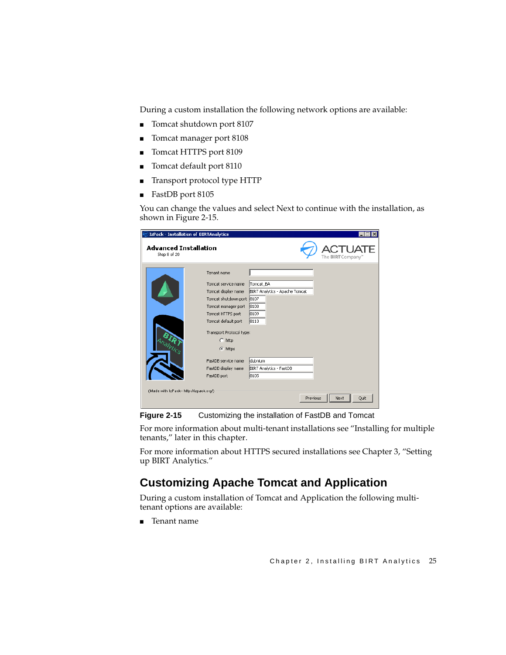During a custom installation the following network options are available:

- Tomcat shutdown port 8107
- Tomcat manager port 8108
- Tomcat HTTPS port 8109
- Tomcat default port 8110
- Transport protocol type HTTP
- FastDB port 8105

You can change the values and select Next to continue with the installation, as shown in [Figure 2-15](#page-32-1).

| <b>IzPack - Installation of BIRTAnalytics</b> |                           |                                |                          |
|-----------------------------------------------|---------------------------|--------------------------------|--------------------------|
| <b>Advanced Installation</b><br>Step 8 of 20  |                           |                                | The <b>BIRT</b> Company" |
|                                               | Tenant name               |                                |                          |
|                                               | Tomcat service name       | Tomcat BA                      |                          |
|                                               | Tomcat display name       | BIRT Analytics - Apache Tomcat |                          |
|                                               | Tomcat shutdown port 8107 |                                |                          |
|                                               | Tomcat manager port       | 8108                           |                          |
|                                               | Tomcat HTTPS port         | 8109                           |                          |
|                                               | Tomcat default port       | 8110                           |                          |
|                                               | Transport Protocol type:  |                                |                          |
|                                               | $C$ http                  |                                |                          |
| <b>SIL</b>                                    |                           |                                |                          |
|                                               | G https                   |                                |                          |
|                                               | FastDB service name       | dubnium                        |                          |
|                                               | FastDB display name       | BIRT Analytics - FastDB        |                          |
|                                               | FastDB port               | 8105                           |                          |
|                                               |                           |                                |                          |
| (Made with IzPack - http://izpack.org/)       |                           |                                |                          |
|                                               |                           | Previous                       | Quit<br>Next             |

<span id="page-32-1"></span>**Figure 2-15** Customizing the installation of FastDB and Tomcat

For more information about multi-tenant installations see ["Installing for multiple](#page-38-0)  [tenants,"](#page-38-0) later in this chapter.

For more information about HTTPS secured installations see [Chapter 3, "Setting](#page-44-2)  [up BIRT Analytics."](#page-44-2)

# <span id="page-32-0"></span>**Customizing Apache Tomcat and Application**

During a custom installation of Tomcat and Application the following multitenant options are available:

■ Tenant name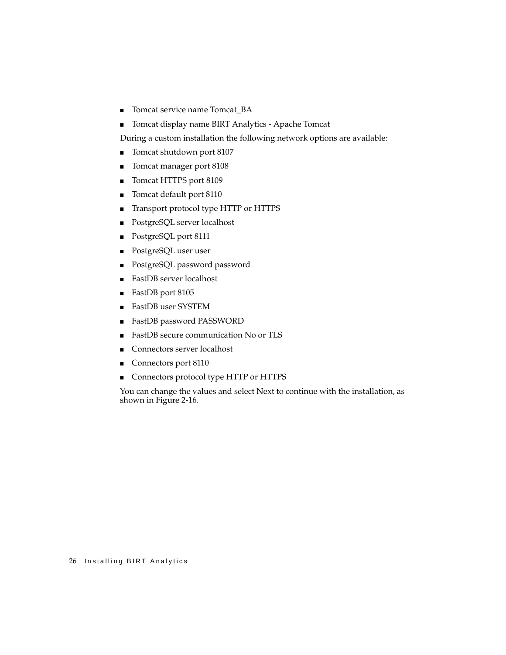- Tomcat service name Tomcat\_BA
- Tomcat display name BIRT Analytics Apache Tomcat

During a custom installation the following network options are available:

- Tomcat shutdown port 8107
- Tomcat manager port 8108
- Tomcat HTTPS port 8109
- Tomcat default port 8110
- Transport protocol type HTTP or HTTPS
- PostgreSQL server localhost
- PostgreSQL port 8111
- PostgreSQL user user
- PostgreSQL password password
- FastDB server localhost
- FastDB port 8105
- FastDB user SYSTEM
- FastDB password PASSWORD
- FastDB secure communication No or TLS
- Connectors server localhost
- Connectors port 8110
- Connectors protocol type HTTP or HTTPS

You can change the values and select Next to continue with the installation, as shown in [Figure 2-16](#page-34-1).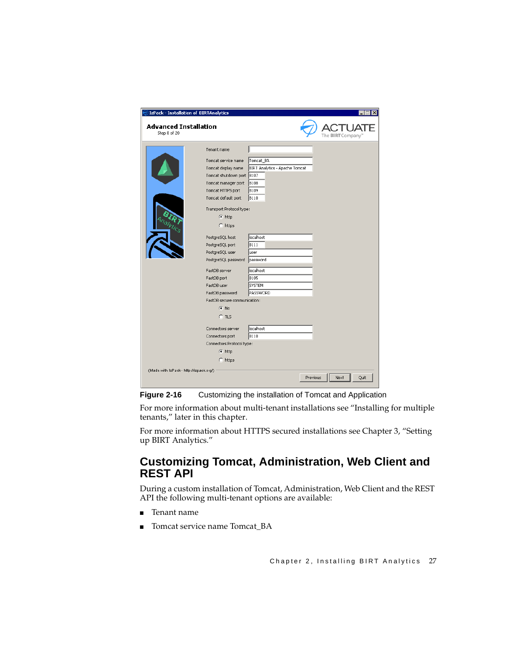| <b>IzPack - Installation of BIRTAnalytics</b> |                                                                                                                                                                                                                                                                                                                                |                                                                                                                                    | $\boldsymbol{\mathsf{x}}$ |
|-----------------------------------------------|--------------------------------------------------------------------------------------------------------------------------------------------------------------------------------------------------------------------------------------------------------------------------------------------------------------------------------|------------------------------------------------------------------------------------------------------------------------------------|---------------------------|
| <b>Advanced Installation</b><br>Step 8 of 20  |                                                                                                                                                                                                                                                                                                                                |                                                                                                                                    | The <b>BIRT</b> Company   |
|                                               | Tenant name<br>Tomcat service name<br>Tomcat display name<br>Tomcat shutdown port 8107<br>Tomcat manager port<br>Tomcat HTTPS port<br>Tomcat default port<br>Transport Protocol type:<br>$C$ http<br>$C$ https<br>PostgreSQL host<br>PostgreSQL port<br>PostgreSQL user<br>PostgreSQL password<br>FastDB server<br>FastDB port | Tomcat_BA<br>BIRT Analytics - Apache Tomcat<br>8108<br>8109<br>8110<br>localhost<br>8111<br>luser<br>password<br>localhost<br>8105 |                           |
|                                               | FastDB user<br>FastDB password<br>FastDB secure communication:<br>$\subset$ No<br>$C$ TLS<br>Connectors server<br>Connectors port<br>Connectors Protocol type:<br>$C$ http<br>$C$ https                                                                                                                                        | SYSTEM<br>PASSWORD<br>llocalhost<br>8110                                                                                           |                           |
| (Made with IzPack - http://izpack.org/)       |                                                                                                                                                                                                                                                                                                                                | Previous                                                                                                                           | Quit<br>Next              |

<span id="page-34-1"></span>**Figure 2-16** Customizing the installation of Tomcat and Application

For more information about multi-tenant installations see ["Installing for multiple](#page-38-0)  [tenants,"](#page-38-0) later in this chapter.

For more information about HTTPS secured installations see [Chapter 3, "Setting](#page-44-2)  [up BIRT Analytics."](#page-44-2)

## <span id="page-34-0"></span>**Customizing Tomcat, Administration, Web Client and REST API**

During a custom installation of Tomcat, Administration, Web Client and the REST API the following multi-tenant options are available:

- Tenant name
- Tomcat service name Tomcat\_BA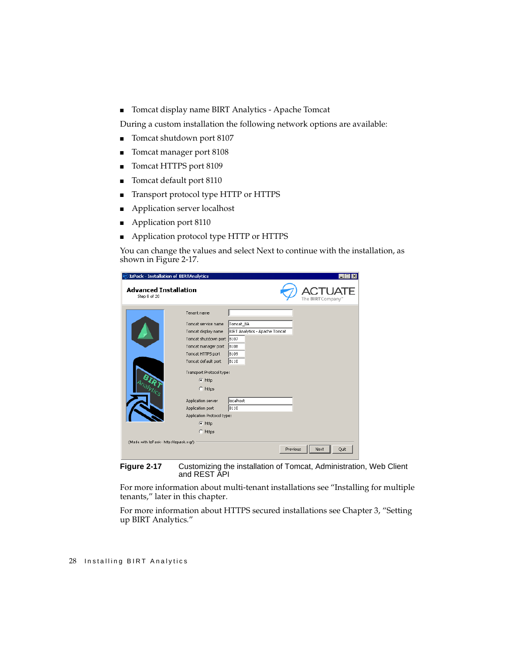■ Tomcat display name BIRT Analytics - Apache Tomcat

During a custom installation the following network options are available:

- Tomcat shutdown port 8107
- Tomcat manager port 8108
- Tomcat HTTPS port 8109
- Tomcat default port 8110
- Transport protocol type HTTP or HTTPS
- Application server localhost
- Application port 8110
- Application protocol type HTTP or HTTPS

You can change the values and select Next to continue with the installation, as shown in [Figure 2-17](#page-35-0).

| DIzPack - Installation of BIRTAnalytics      |                            |                                |                          |
|----------------------------------------------|----------------------------|--------------------------------|--------------------------|
| <b>Advanced Installation</b><br>Step 8 of 20 |                            |                                | The <b>BIRT</b> Company" |
|                                              | Tenant name                |                                |                          |
|                                              | Tomcat service name        | Tomcat_BA                      |                          |
|                                              | Tomcat display name        | BIRT Analytics - Apache Tomcat |                          |
|                                              | Tomcat shutdown port 8107  |                                |                          |
|                                              | Tomcat manager port        | 8108                           |                          |
|                                              | Tomcat HTTPS port          | 8109                           |                          |
|                                              | Tomcat default port        | 8110                           |                          |
|                                              | Transport Protocol type:   |                                |                          |
|                                              | $C$ http                   |                                |                          |
|                                              | $C$ https                  |                                |                          |
|                                              |                            |                                |                          |
|                                              | Application server         | llocalhost                     |                          |
|                                              | Application port           | 8110                           |                          |
|                                              | Application Protocol type: |                                |                          |
|                                              | $C$ http                   |                                |                          |
|                                              | $C$ https                  |                                |                          |
| (Made with IzPack - http://izpack.org/)      |                            |                                |                          |
|                                              |                            | Previous                       | Quit<br>Next             |
|                                              |                            |                                |                          |

<span id="page-35-0"></span>**Figure 2-17** Customizing the installation of Tomcat, Administration, Web Client and REST API

For more information about multi-tenant installations see ["Installing for multiple](#page-38-0)  [tenants,"](#page-38-0) later in this chapter.

For more information about HTTPS secured installations see [Chapter 3, "Setting](#page-44-2)  [up BIRT Analytics."](#page-44-2)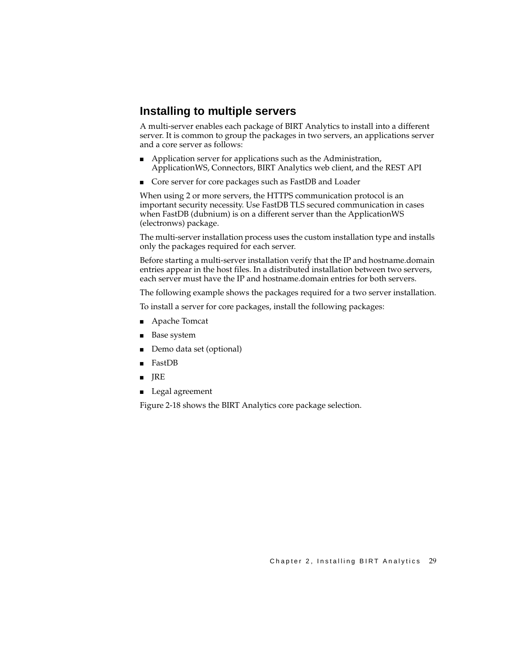#### **Installing to multiple servers**

A multi-server enables each package of BIRT Analytics to install into a different server. It is common to group the packages in two servers, an applications server and a core server as follows:

- Application server for applications such as the Administration, ApplicationWS, Connectors, BIRT Analytics web client, and the REST API
- Core server for core packages such as FastDB and Loader

When using 2 or more servers, the HTTPS communication protocol is an important security necessity. Use FastDB TLS secured communication in cases when FastDB (dubnium) is on a different server than the ApplicationWS (electronws) package.

The multi-server installation process uses the custom installation type and installs only the packages required for each server.

Before starting a multi-server installation verify that the IP and hostname.domain entries appear in the host files. In a distributed installation between two servers, each server must have the IP and hostname.domain entries for both servers.

The following example shows the packages required for a two server installation.

To install a server for core packages, install the following packages:

- Apache Tomcat
- Base system
- Demo data set (optional)
- FastDB
- JRE
- Legal agreement

[Figure 2-18](#page-37-0) shows the BIRT Analytics core package selection.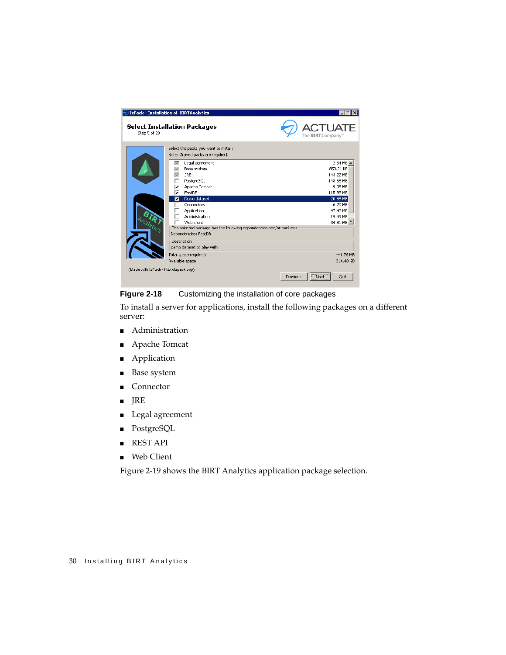|                                         | Expack - Installation of BIRTAnalytics                                                                                                                                                                                                                                                          |                                                                                                                                   |
|-----------------------------------------|-------------------------------------------------------------------------------------------------------------------------------------------------------------------------------------------------------------------------------------------------------------------------------------------------|-----------------------------------------------------------------------------------------------------------------------------------|
| Step 5 of 20                            | <b>Select Installation Packages</b>                                                                                                                                                                                                                                                             | 'l JATF<br>The <b>BIRT</b> Company"                                                                                               |
|                                         | Select the packs you want to install:<br>Note: Grayed packs are required.                                                                                                                                                                                                                       |                                                                                                                                   |
|                                         | Legal agreement<br>⊽<br>Base system<br>⊽<br>⊽<br><b>JRE</b><br>PostgreSQL<br>Apache Tomcat<br>⊽<br>⊽<br>FastDB<br>Demo dataset<br>⊽<br>Connectors<br>Application<br>Administration<br>Web client<br>The selected package has the following dependencies and/or excludes<br>Dependencies: FastDB | 2.54 MB<br>859.21 KB<br>143.22 MB<br>148.65 MB<br>9.95 MB<br>115.98 MB<br>20.58 MB<br>6.79 MB<br>47.43 MB<br>19.49 MB<br>34.81 MB |
|                                         | Description<br>Demo dataset to play with                                                                                                                                                                                                                                                        |                                                                                                                                   |
|                                         | Total space required:<br>Available space:                                                                                                                                                                                                                                                       | 441.76 MB<br>314.48 GB                                                                                                            |
| (Made with IzPack - http://izpack.org/) | Previous                                                                                                                                                                                                                                                                                        | Ouit<br>Next                                                                                                                      |

<span id="page-37-0"></span>**Figure 2-18** Customizing the installation of core packages

To install a server for applications, install the following packages on a different server:

- Administration
- Apache Tomcat
- Application
- Base system
- Connector
- JRE
- Legal agreement
- PostgreSQL
- REST API
- Web Client

[Figure 2-19](#page-38-0) shows the BIRT Analytics application package selection.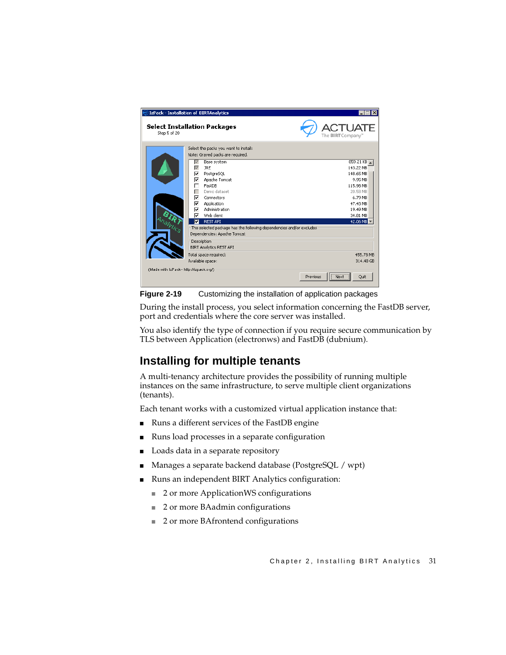

**Figure 2-19** Customizing the installation of application packages

<span id="page-38-0"></span>During the install process, you select information concerning the FastDB server, port and credentials where the core server was installed.

You also identify the type of connection if you require secure communication by TLS between Application (electronws) and FastDB (dubnium).

#### **Installing for multiple tenants**

A multi-tenancy architecture provides the possibility of running multiple instances on the same infrastructure, to serve multiple client organizations (tenants).

Each tenant works with a customized virtual application instance that:

- Runs a different services of the FastDB engine
- Runs load processes in a separate configuration
- Loads data in a separate repository
- Manages a separate backend database (PostgreSQL / wpt)
- Runs an independent BIRT Analytics configuration:
	- 2 or more ApplicationWS configurations
	- 2 or more BAadmin configurations
	- 2 or more BAfrontend configurations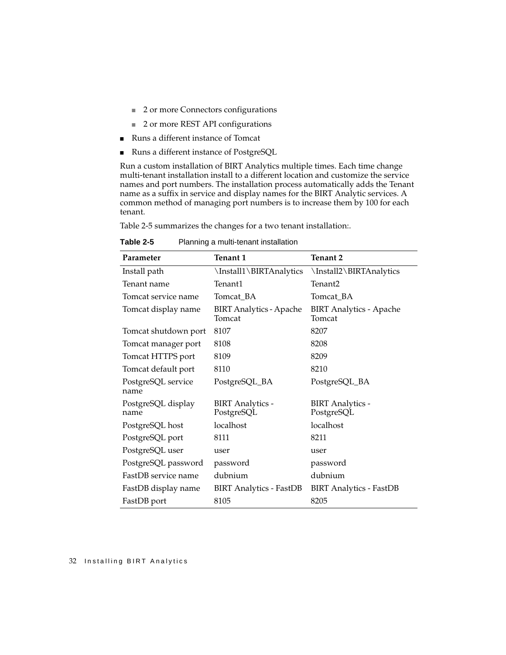- 2 or more Connectors configurations
- 2 or more REST API configurations
- Runs a different instance of Tomcat
- Runs a different instance of PostgreSQL

Run a custom installation of BIRT Analytics multiple times. Each time change multi-tenant installation install to a different location and customize the service names and port numbers. The installation process automatically adds the Tenant name as a suffix in service and display names for the BIRT Analytic services. A common method of managing port numbers is to increase them by 100 for each tenant.

[Table 2-5](#page-39-0) summarizes the changes for a two tenant installation:.

| Parameter                  | <b>Tenant 1</b>                          | <b>Tenant 2</b>                          |  |
|----------------------------|------------------------------------------|------------------------------------------|--|
| Install path               | \Install1\BIRTAnalytics                  | \Install2\BIRTAnalytics                  |  |
| Tenant name                | Tenant1                                  | Tenant2                                  |  |
| Tomcat service name        | Tomcat_BA                                | Tomcat_BA                                |  |
| Tomcat display name        | <b>BIRT Analytics - Apache</b><br>Tomcat | <b>BIRT Analytics - Apache</b><br>Tomcat |  |
| Tomcat shutdown port       | 8107                                     | 8207                                     |  |
| Tomcat manager port        | 8108                                     | 8208                                     |  |
| Tomcat HTTPS port          | 8109                                     | 8209                                     |  |
| Tomcat default port        | 8110                                     | 8210                                     |  |
| PostgreSQL service<br>name | PostgreSQL_BA                            | PostgreSQL_BA                            |  |
| PostgreSQL display<br>name | <b>BIRT</b> Analytics -<br>PostgreSQL    | <b>BIRT</b> Analytics -<br>PostgreSQL    |  |
| PostgreSQL host            | localhost                                | localhost                                |  |
| PostgreSQL port            | 8111                                     | 8211                                     |  |
| PostgreSQL user            | user                                     | user                                     |  |
| PostgreSQL password        | password                                 | password                                 |  |
| FastDB service name        | dubnium                                  | dubnium                                  |  |
| FastDB display name        | <b>BIRT</b> Analytics - FastDB           | <b>BIRT Analytics - FastDB</b>           |  |
| FastDB port                | 8105                                     | 8205                                     |  |

<span id="page-39-0"></span>**Table 2-5** Planning a multi-tenant installation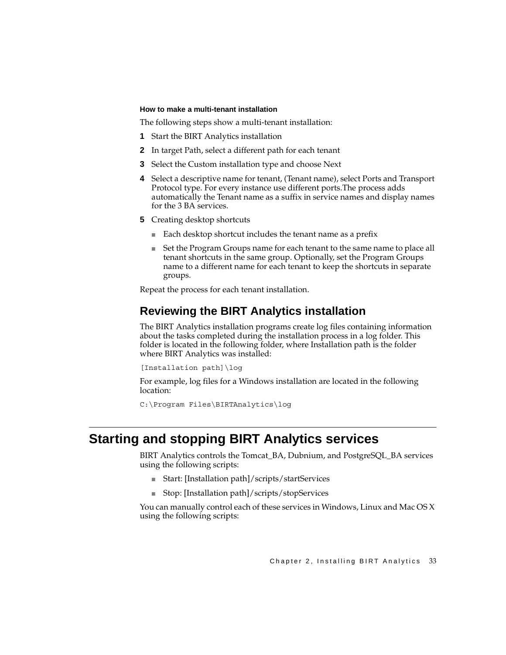#### **How to make a multi-tenant installation**

The following steps show a multi-tenant installation:

- **1** Start the BIRT Analytics installation
- **2** In target Path, select a different path for each tenant
- **3** Select the Custom installation type and choose Next
- **4** Select a descriptive name for tenant, (Tenant name), select Ports and Transport Protocol type. For every instance use different ports.The process adds automatically the Tenant name as a suffix in service names and display names for the 3 BA services.
- **5** Creating desktop shortcuts
	- Each desktop shortcut includes the tenant name as a prefix
	- Set the Program Groups name for each tenant to the same name to place all tenant shortcuts in the same group. Optionally, set the Program Groups name to a different name for each tenant to keep the shortcuts in separate groups.

Repeat the process for each tenant installation.

#### <span id="page-40-0"></span>**Reviewing the BIRT Analytics installation**

The BIRT Analytics installation programs create log files containing information about the tasks completed during the installation process in a log folder. This folder is located in the following folder, where Installation path is the folder where BIRT Analytics was installed:

```
[Installation path]\log
```
For example, log files for a Windows installation are located in the following location:

```
C:\Program Files\BIRTAnalytics\log
```
#### **Starting and stopping BIRT Analytics services**

BIRT Analytics controls the Tomcat\_BA, Dubnium, and PostgreSQL\_BA services using the following scripts:

- Start: [Installation path]/scripts/startServices
- Stop: [Installation path]/scripts/stopServices

You can manually control each of these services in Windows, Linux and Mac OS X using the following scripts: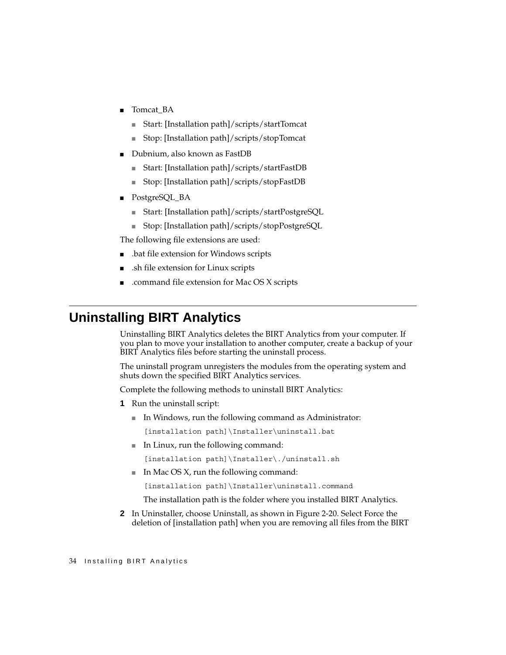- Tomcat\_BA
	- Start: [Installation path]/scripts/startTomcat
	- Stop: [Installation path]/scripts/stopTomcat
- Dubnium, also known as FastDB
	- Start: [Installation path]/scripts/startFastDB
	- Stop: [Installation path]/scripts/stopFastDB
- PostgreSQL\_BA
	- Start: [Installation path]/scripts/startPostgreSQL
	- Stop: [Installation path]/scripts/stopPostgreSQL

The following file extensions are used:

- bat file extension for Windows scripts.
- .sh file extension for Linux scripts
- .command file extension for Mac OS X scripts.

## **Uninstalling BIRT Analytics**

Uninstalling BIRT Analytics deletes the BIRT Analytics from your computer. If you plan to move your installation to another computer, create a backup of your BIRT Analytics files before starting the uninstall process.

The uninstall program unregisters the modules from the operating system and shuts down the specified BIRT Analytics services.

Complete the following methods to uninstall BIRT Analytics:

- **1** Run the uninstall script:
	- In Windows, run the following command as Administrator:

[installation path]\Installer\uninstall.bat

■ In Linux, run the following command:

[installation path]\Installer\./uninstall.sh

 $\blacksquare$  In Mac OS X, run the following command:

[installation path]\Installer\uninstall.command

The installation path is the folder where you installed BIRT Analytics.

**2** In Uninstaller, choose Uninstall, as shown in [Figure 2-20.](#page-42-0) Select Force the deletion of [installation path] when you are removing all files from the BIRT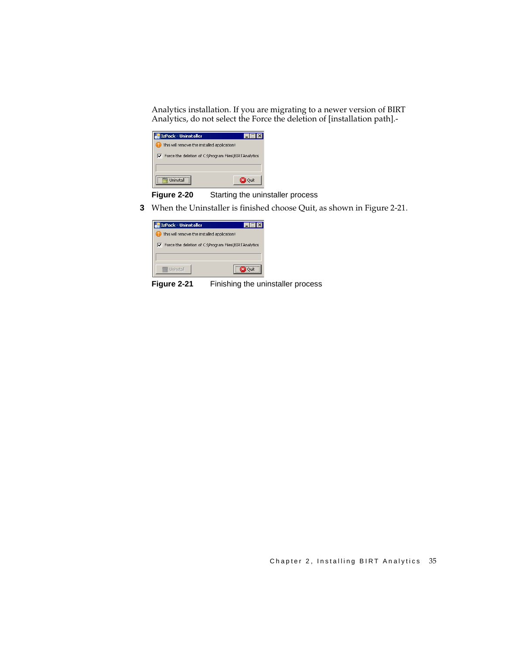Analytics installation. If you are migrating to a newer version of BIRT Analytics, do not select the Force the deletion of [installation path].-

| IzPack - Uninstaller                                          |       |  |  |
|---------------------------------------------------------------|-------|--|--|
| This will remove the installed application!                   |       |  |  |
| $\nabla$ Force the deletion of C:\Program Files\BIRTAnalytics |       |  |  |
|                                                               |       |  |  |
| I Ininstall                                                   | Oriit |  |  |

<span id="page-42-0"></span>**Figure 2-20** Starting the uninstaller process

**3** When the Uninstaller is finished choose Quit, as shown in [Figure 2-21](#page-42-1).

| IzPack - Uninstaller                                 |  |  |
|------------------------------------------------------|--|--|
| This will remove the installed application!          |  |  |
| Force the deletion of C:\Program Files\BIRTAnalytics |  |  |
|                                                      |  |  |
| Uninstall                                            |  |  |

<span id="page-42-1"></span>**Figure 2-21** Finishing the uninstaller process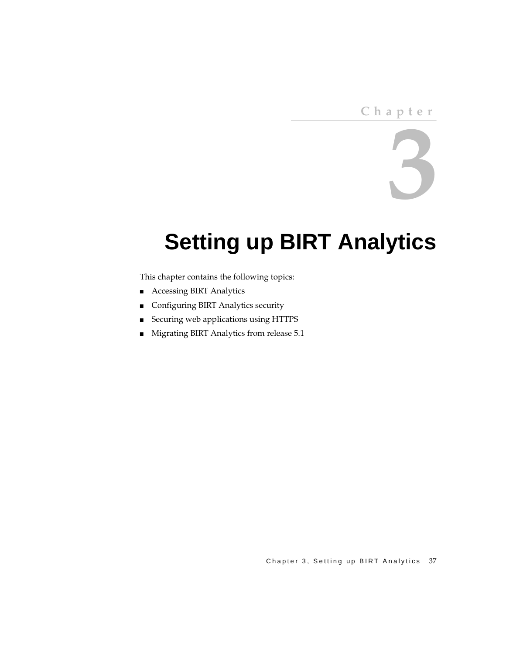# **3**

# **Setting up BIRT Analytics**

This chapter contains the following topics:

- [Accessing BIRT Analytics](#page-45-0)
- [Configuring BIRT Analytics security](#page-47-0)
- [Securing web applications using HTTPS](#page-49-0)
- [Migrating BIRT Analytics from release 5.1](#page-62-0)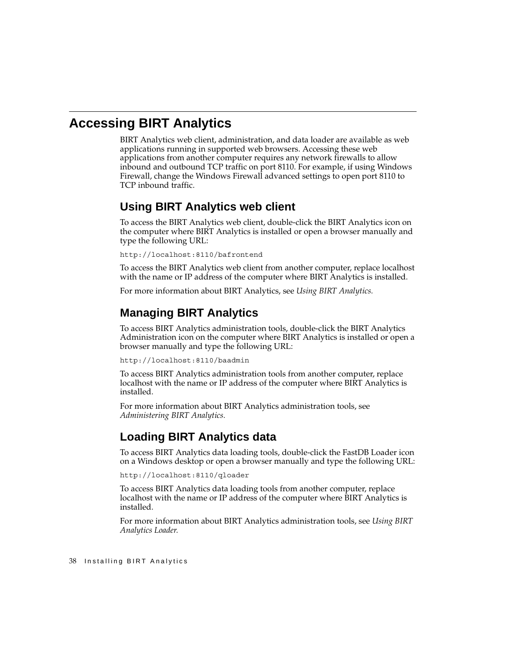## <span id="page-45-0"></span>**Accessing BIRT Analytics**

BIRT Analytics web client, administration, and data loader are available as web applications running in supported web browsers. Accessing these web applications from another computer requires any network firewalls to allow inbound and outbound TCP traffic on port 8110. For example, if using Windows Firewall, change the Windows Firewall advanced settings to open port 8110 to TCP inbound traffic.

#### **Using BIRT Analytics web client**

To access the BIRT Analytics web client, double-click the BIRT Analytics icon on the computer where BIRT Analytics is installed or open a browser manually and type the following URL:

http://localhost:8110/bafrontend

To access the BIRT Analytics web client from another computer, replace localhost with the name or IP address of the computer where BIRT Analytics is installed.

For more information about BIRT Analytics, see *Using BIRT Analytics.*

#### **Managing BIRT Analytics**

To access BIRT Analytics administration tools, double-click the BIRT Analytics Administration icon on the computer where BIRT Analytics is installed or open a browser manually and type the following URL:

http://localhost:8110/baadmin

To access BIRT Analytics administration tools from another computer, replace localhost with the name or IP address of the computer where BIRT Analytics is installed.

For more information about BIRT Analytics administration tools, see *Administering BIRT Analytics.*

#### **Loading BIRT Analytics data**

To access BIRT Analytics data loading tools, double-click the FastDB Loader icon on a Windows desktop or open a browser manually and type the following URL:

http://localhost:8110/qloader

To access BIRT Analytics data loading tools from another computer, replace localhost with the name or IP address of the computer where BIRT Analytics is installed.

For more information about BIRT Analytics administration tools, see *Using BIRT Analytics Loader.*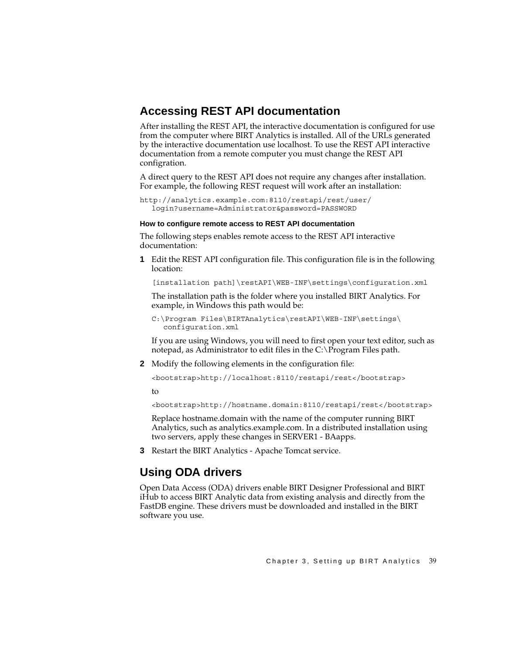#### **Accessing REST API documentation**

After installing the REST API, the interactive documentation is configured for use from the computer where BIRT Analytics is installed. All of the URLs generated by the interactive documentation use localhost. To use the REST API interactive documentation from a remote computer you must change the REST API configration.

A direct query to the REST API does not require any changes after installation. For example, the following REST request will work after an installation:

```
http://analytics.example.com:8110/restapi/rest/user/
  login?username=Administrator&password=PASSWORD
```
#### **How to configure remote access to REST API documentation**

The following steps enables remote access to the REST API interactive documentation:

**1** Edit the REST API configuration file. This configuration file is in the following location:

[installation path]\restAPI\WEB-INF\settings\configuration.xml

The installation path is the folder where you installed BIRT Analytics. For example, in Windows this path would be:

```
C:\Program Files\BIRTAnalytics\restAPI\WEB-INF\settings\
  configuration.xml
```
If you are using Windows, you will need to first open your text editor, such as notepad, as Administrator to edit files in the C:\Program Files path.

**2** Modify the following elements in the configuration file:

<bootstrap>http://localhost:8110/restapi/rest</bootstrap>

to

<bootstrap>http://hostname.domain:8110/restapi/rest</bootstrap>

Replace hostname.domain with the name of the computer running BIRT Analytics, such as analytics.example.com. In a distributed installation using two servers, apply these changes in SERVER1 - BAapps.

**3** Restart the BIRT Analytics - Apache Tomcat service.

## **Using ODA drivers**

Open Data Access (ODA) drivers enable BIRT Designer Professional and BIRT iHub to access BIRT Analytic data from existing analysis and directly from the FastDB engine. These drivers must be downloaded and installed in the BIRT software you use.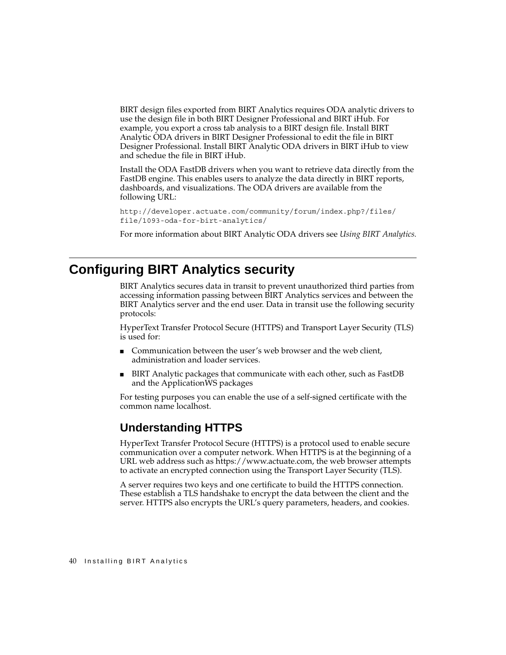BIRT design files exported from BIRT Analytics requires ODA analytic drivers to use the design file in both BIRT Designer Professional and BIRT iHub. For example, you export a cross tab analysis to a BIRT design file. Install BIRT Analytic ODA drivers in BIRT Designer Professional to edit the file in BIRT Designer Professional. Install BIRT Analytic ODA drivers in BIRT iHub to view and schedue the file in BIRT iHub.

Install the ODA FastDB drivers when you want to retrieve data directly from the FastDB engine. This enables users to analyze the data directly in BIRT reports, dashboards, and visualizations. The ODA drivers are available from the following URL:

```
http://developer.actuate.com/community/forum/index.php?/files/
file/1093-oda-for-birt-analytics/
```
For more information about BIRT Analytic ODA drivers see *Using BIRT Analytics.*

## <span id="page-47-0"></span>**Configuring BIRT Analytics security**

<span id="page-47-1"></span>BIRT Analytics secures data in transit to prevent unauthorized third parties from accessing information passing between BIRT Analytics services and between the BIRT Analytics server and the end user. Data in transit use the following security protocols:

<span id="page-47-2"></span>HyperText Transfer Protocol Secure (HTTPS) and Transport Layer Security (TLS) is used for:

- <span id="page-47-3"></span>■ Communication between the user's web browser and the web client, administration and loader services.
- BIRT Analytic packages that communicate with each other, such as FastDB and the ApplicationWS packages

For testing purposes you can enable the use of a self-signed certificate with the common name localhost.

#### **Understanding HTTPS**

HyperText Transfer Protocol Secure (HTTPS) is a protocol used to enable secure communication over a computer network. When HTTPS is at the beginning of a URL web address such as https://www.actuate.com, the web browser attempts to activate an encrypted connection using the Transport Layer Security (TLS).

A server requires two keys and one certificate to build the HTTPS connection. These establish a TLS handshake to encrypt the data between the client and the server. HTTPS also encrypts the URL's query parameters, headers, and cookies.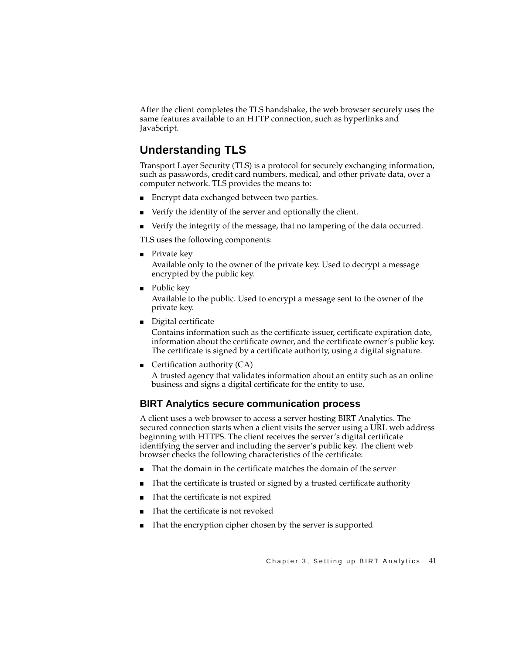After the client completes the TLS handshake, the web browser securely uses the same features available to an HTTP connection, such as hyperlinks and JavaScript.

#### **Understanding TLS**

Transport Layer Security (TLS) is a protocol for securely exchanging information, such as passwords, credit card numbers, medical, and other private data, over a computer network. TLS provides the means to:

- Encrypt data exchanged between two parties.
- Verify the identity of the server and optionally the client.
- Verify the integrity of the message, that no tampering of the data occurred.

TLS uses the following components:

<span id="page-48-4"></span>■ Private key

Available only to the owner of the private key. Used to decrypt a message encrypted by the public key.

<span id="page-48-5"></span>■ Public key

Available to the public. Used to encrypt a message sent to the owner of the private key.

<span id="page-48-1"></span>■ Digital certificate

<span id="page-48-2"></span>Contains information such as the certificate issuer, certificate expiration date, information about the certificate owner, and the certificate owner's public key. The certificate is signed by a certificate authority, using a digital signature.

<span id="page-48-0"></span>■ Certification authority  $(CA)$ 

A trusted agency that validates information about an entity such as an online business and signs a digital certificate for the entity to use.

#### **BIRT Analytics secure communication process**

<span id="page-48-6"></span>A client uses a web browser to access a server hosting BIRT Analytics. The secured connection starts when a client visits the server using a URL web address beginning with HTTPS. The client receives the server's digital certificate identifying the server and including the server's public key. The client web browser checks the following characteristics of the certificate:

- That the domain in the certificate matches the domain of the server
- That the certificate is trusted or signed by a trusted certificate authority
- That the certificate is not expired
- <span id="page-48-3"></span>That the certificate is not revoked
- That the encryption cipher chosen by the server is supported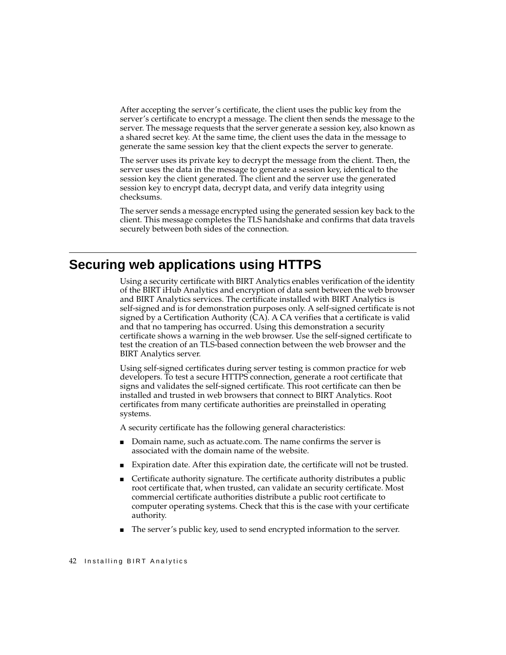<span id="page-49-6"></span><span id="page-49-5"></span>After accepting the server's certificate, the client uses the public key from the server's certificate to encrypt a message. The client then sends the message to the server. The message requests that the server generate a session key, also known as a shared secret key. At the same time, the client uses the data in the message to generate the same session key that the client expects the server to generate.

The server uses its private key to decrypt the message from the client. Then, the server uses the data in the message to generate a session key, identical to the session key the client generated. The client and the server use the generated session key to encrypt data, decrypt data, and verify data integrity using checksums.

The server sends a message encrypted using the generated session key back to the client. This message completes the TLS handshake and confirms that data travels securely between both sides of the connection.

#### <span id="page-49-0"></span>**Securing web applications using HTTPS**

<span id="page-49-7"></span><span id="page-49-2"></span>Using a security certificate with BIRT Analytics enables verification of the identity of the BIRT iHub Analytics and encryption of data sent between the web browser and BIRT Analytics services. The certificate installed with BIRT Analytics is self-signed and is for demonstration purposes only. A self-signed certificate is not signed by a Certification Authority (CA). A CA verifies that a certificate is valid and that no tampering has occurred. Using this demonstration a security certificate shows a warning in the web browser. Use the self-signed certificate to test the creation of an TLS-based connection between the web browser and the BIRT Analytics server.

<span id="page-49-4"></span>Using self-signed certificates during server testing is common practice for web developers. To test a secure HTTPS connection, generate a root certificate that signs and validates the self-signed certificate. This root certificate can then be installed and trusted in web browsers that connect to BIRT Analytics. Root certificates from many certificate authorities are preinstalled in operating systems.

A security certificate has the following general characteristics:

- Domain name, such as actuate.com. The name confirms the server is associated with the domain name of the website.
- <span id="page-49-1"></span>■ Expiration date. After this expiration date, the certificate will not be trusted.
- Certificate authority signature. The certificate authority distributes a public root certificate that, when trusted, can validate an security certificate. Most commercial certificate authorities distribute a public root certificate to computer operating systems. Check that this is the case with your certificate authority.
- <span id="page-49-3"></span>■ The server's public key, used to send encrypted information to the server.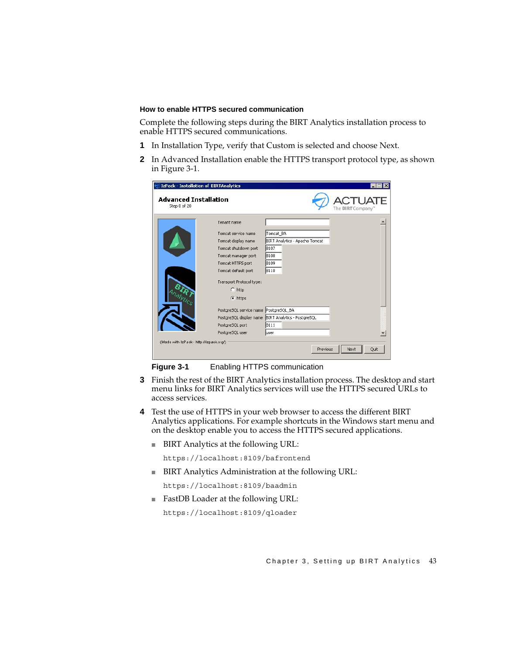#### **How to enable HTTPS secured communication**

Complete the following steps during the BIRT Analytics installation process to enable HTTPS secured communications.

- **1** In Installation Type, verify that Custom is selected and choose Next.
- **2** In Advanced Installation enable the HTTPS transport protocol type, as shown in [Figure 3-1](#page-50-0).

| IzPack - Installation of BIRTAnalytics       |                                       |                                |                          |
|----------------------------------------------|---------------------------------------|--------------------------------|--------------------------|
| <b>Advanced Installation</b><br>Step 8 of 20 |                                       |                                | The <b>BIRT</b> Company" |
|                                              | Tenant name                           |                                |                          |
|                                              | Tomcat service name                   | Tomcat BA                      |                          |
|                                              | Tomcat display name                   | BIRT Analytics - Apache Tomcat |                          |
|                                              | Tomcat shutdown port                  | 8107                           |                          |
|                                              | Tomcat manager port                   | 8108                           |                          |
|                                              | Tomcat HTTPS port                     | 8109                           |                          |
|                                              | Tomcat default port                   | 8110                           |                          |
|                                              | Transport Protocol type:              |                                |                          |
|                                              | $C$ http                              |                                |                          |
|                                              | C https                               |                                |                          |
|                                              | PostgreSQL service name PostgreSQL BA |                                |                          |
|                                              | PostgreSQL display name               | BIRT Analytics - PostgreSQL    |                          |
|                                              | PostgreSQL port                       | 8111                           |                          |
|                                              | PostgreSQL user                       | luser                          |                          |
| (Made with IzPack - http://izpack.org/)      |                                       |                                |                          |
|                                              |                                       | Previous                       | Next<br>Quit             |

<span id="page-50-0"></span>

**Figure 3-1** Enabling HTTPS communication

- **3** Finish the rest of the BIRT Analytics installation process. The desktop and start menu links for BIRT Analytics services will use the HTTPS secured URLs to access services.
- **4** Test the use of HTTPS in your web browser to access the different BIRT Analytics applications. For example shortcuts in the Windows start menu and on the desktop enable you to access the HTTPS secured applications.
	- BIRT Analytics at the following URL:

https://localhost:8109/bafrontend

■ BIRT Analytics Administration at the following URL:

https://localhost:8109/baadmin

■ FastDB Loader at the following URL:

https://localhost:8109/qloader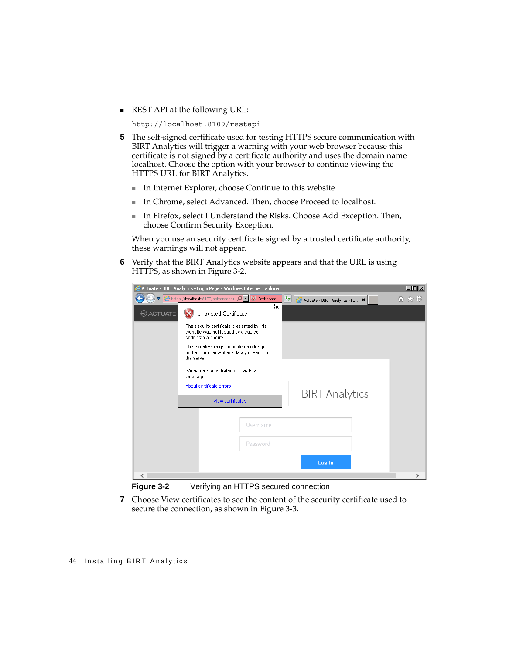■ REST API at the following URL:

```
http://localhost:8109/restapi
```
- **5** The self-signed certificate used for testing HTTPS secure communication with BIRT Analytics will trigger a warning with your web browser because this certificate is not signed by a certificate authority and uses the domain name localhost. Choose the option with your browser to continue viewing the HTTPS URL for BIRT Analytics.
	- In Internet Explorer, choose Continue to this website.
	- In Chrome, select Advanced. Then, choose Proceed to localhost.
	- In Firefox, select I Understand the Risks. Choose Add Exception. Then, choose Confirm Security Exception.

When you use an security certificate signed by a trusted certificate authority, these warnings will not appear.

**6** Verify that the BIRT Analytics website appears and that the URL is using HTTPS, as shown in [Figure 3-2.](#page-51-0)

| Actuate - BIRT Analytics - Login Page - Windows Internet Explorer |             |                                                                                                             |                         |                                 | $\Box$ D $\Box$ |
|-------------------------------------------------------------------|-------------|-------------------------------------------------------------------------------------------------------------|-------------------------|---------------------------------|-----------------|
|                                                                   |             | ● 8 https://localhost:8109/bafrontend/ Q -                                                                  | Certificate             | Actuate - BIRT Analytics - Lo X | 而大的             |
| <b>ACTUATE</b>                                                    |             | Untrusted Certificate                                                                                       | $\overline{\mathbf{x}}$ |                                 |                 |
|                                                                   |             | The security certificate presented by this<br>website was not issued by a trusted<br>certificate authority. |                         |                                 |                 |
|                                                                   | the server. | This problem might indicate an attempt to<br>fool you or intercept any data you send to                     |                         |                                 |                 |
|                                                                   | webpage.    | We recommend that you close this                                                                            |                         |                                 |                 |
|                                                                   |             | About certificate errors                                                                                    |                         | <b>BIRT</b> Analytics           |                 |
|                                                                   |             | View certificates                                                                                           |                         |                                 |                 |
|                                                                   |             |                                                                                                             |                         |                                 |                 |
|                                                                   |             |                                                                                                             | Username                |                                 |                 |
|                                                                   |             |                                                                                                             | Password                |                                 |                 |
|                                                                   |             |                                                                                                             |                         | Log In                          |                 |
| ←                                                                 |             |                                                                                                             |                         |                                 |                 |

<span id="page-51-0"></span>**Figure 3-2** Verifying an HTTPS secured connection

**7** Choose View certificates to see the content of the security certificate used to secure the connection, as shown in [Figure 3-3](#page-52-0).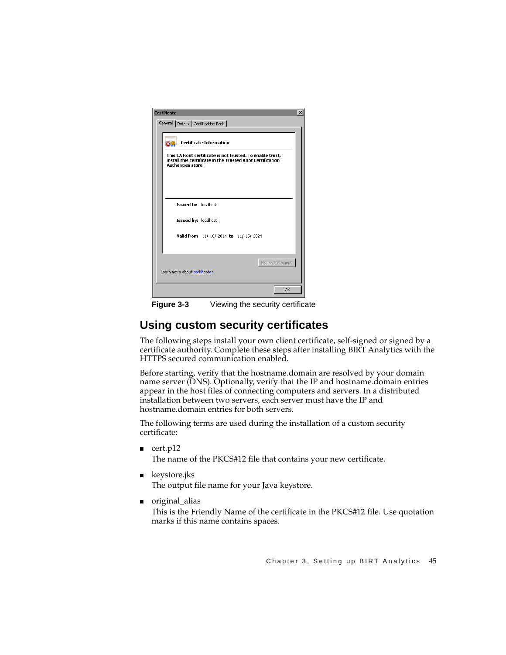| Certificate<br>$\vert x \vert$                                                                                                                       |           |  |  |
|------------------------------------------------------------------------------------------------------------------------------------------------------|-----------|--|--|
| General Details   Certification Path                                                                                                                 |           |  |  |
| <b>Certificate Information</b>                                                                                                                       |           |  |  |
| This CA Root certificate is not trusted. To enable trust,<br>install this certificate in the Trusted Root Certification<br><b>Authorities store.</b> |           |  |  |
|                                                                                                                                                      |           |  |  |
| <b>Issued to: localbost</b>                                                                                                                          |           |  |  |
| Issued by: localhost                                                                                                                                 |           |  |  |
| Valid from 11/18/2014 to 11/15/2024                                                                                                                  |           |  |  |
|                                                                                                                                                      |           |  |  |
| Issuer Statement<br>Learn more about certificates                                                                                                    |           |  |  |
|                                                                                                                                                      |           |  |  |
|                                                                                                                                                      | <b>OK</b> |  |  |

<span id="page-52-0"></span>**Figure 3-3** Viewing the security certificate

#### **Using custom security certificates**

The following steps install your own client certificate, self-signed or signed by a certificate authority. Complete these steps after installing BIRT Analytics with the HTTPS secured communication enabled.

Before starting, verify that the hostname.domain are resolved by your domain name server (DNS). Optionally, verify that the IP and hostname.domain entries appear in the host files of connecting computers and servers. In a distributed installation between two servers, each server must have the IP and hostname.domain entries for both servers.

The following terms are used during the installation of a custom security certificate:

■ cert.p12

The name of the PKCS#12 file that contains your new certificate.

■ keystore.jks

The output file name for your Java keystore.

■ original\_alias

This is the Friendly Name of the certificate in the PKCS#12 file. Use quotation marks if this name contains spaces.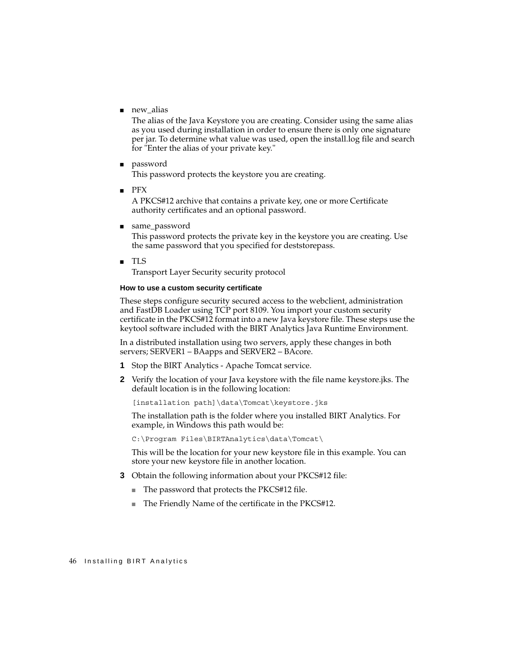■ new\_alias

The alias of the Java Keystore you are creating. Consider using the same alias as you used during installation in order to ensure there is only one signature per jar. To determine what value was used, open the install.log file and search for "Enter the alias of your private key."

■ password

This password protects the keystore you are creating.

■ PFX

A PKCS#12 archive that contains a private key, one or more Certificate authority certificates and an optional password.

■ same\_password

This password protects the private key in the keystore you are creating. Use the same password that you specified for deststorepass.

■ TLS

Transport Layer Security security protocol

#### **How to use a custom security certificate**

These steps configure security secured access to the webclient, administration and FastDB Loader using TCP port 8109. You import your custom security certificate in the PKCS#12 format into a new Java keystore file. These steps use the keytool software included with the BIRT Analytics Java Runtime Environment.

In a distributed installation using two servers, apply these changes in both servers; SERVER1 – BAapps and SERVER2 – BAcore.

- **1** Stop the BIRT Analytics Apache Tomcat service.
- **2** Verify the location of your Java keystore with the file name keystore.jks. The default location is in the following location:

[installation path]\data\Tomcat\keystore.jks

The installation path is the folder where you installed BIRT Analytics. For example, in Windows this path would be:

C:\Program Files\BIRTAnalytics\data\Tomcat\

This will be the location for your new keystore file in this example. You can store your new keystore file in another location.

- **3** Obtain the following information about your PKCS#12 file:
	- The password that protects the PKCS#12 file.
	- The Friendly Name of the certificate in the PKCS#12.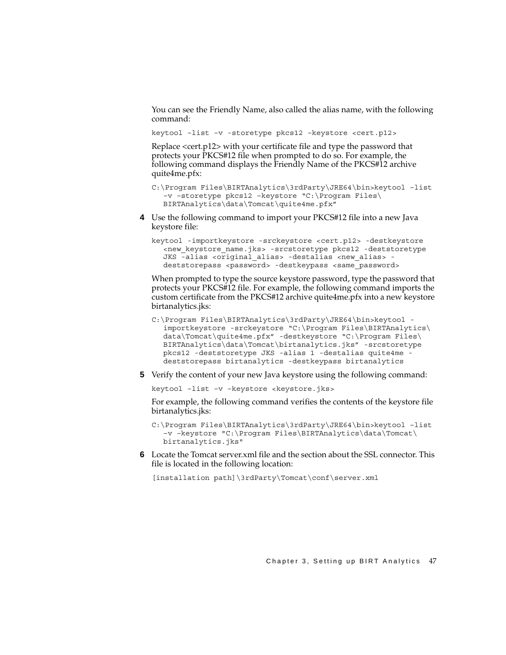You can see the Friendly Name, also called the alias name, with the following command:

keytool –list –v -storetype pkcs12 –keystore <cert.p12>

Replace <cert.p12> with your certificate file and type the password that protects your PKCS#12 file when prompted to do so. For example, the following command displays the Friendly Name of the PKCS#12 archive quite4me.pfx:

```
C:\Program Files\BIRTAnalytics\3rdParty\JRE64\bin>keytool –list 
  –v –storetype pkcs12 –keystore "C:\Program Files\
  BIRTAnalytics\data\Tomcat\quite4me.pfx"
```
**4** Use the following command to import your PKCS#12 file into a new Java keystore file:

```
keytool -importkeystore -srckeystore <cert.p12> -destkeystore 
  <new_keystore_name.jks> -srcstoretype pkcs12 -deststoretype 
  JKS -alias <original alias> -destalias <new alias> -
  deststorepass <password> -destkeypass <same_password>
```
When prompted to type the source keystore password, type the password that protects your PKCS#12 file. For example, the following command imports the custom certificate from the PKCS#12 archive quite4me.pfx into a new keystore birtanalytics.jks:

```
C:\Program Files\BIRTAnalytics\3rdParty\JRE64\bin>keytool -
  importkeystore -srckeystore "C:\Program Files\BIRTAnalytics\
  data\Tomcat\quite4me.pfx" -destkeystore "C:\Program Files\
  BIRTAnalytics\data\Tomcat\birtanalytics.jks" -srcstoretype 
  pkcs12 -deststoretype JKS -alias 1 -destalias quite4me -
  deststorepass birtanalytics -destkeypass birtanalytics
```
**5** Verify the content of your new Java keystore using the following command:

keytool -list -v -keystore <keystore.jks>

For example, the following command verifies the contents of the keystore file birtanalytics.jks:

```
C:\Program Files\BIRTAnalytics\3rdParty\JRE64\bin>keytool –list 
  –v –keystore "C:\Program Files\BIRTAnalytics\data\Tomcat\
  birtanalytics.jks"
```
**6** Locate the Tomcat server.xml file and the section about the SSL connector. This file is located in the following location:

[installation path]\3rdParty\Tomcat\conf\server.xml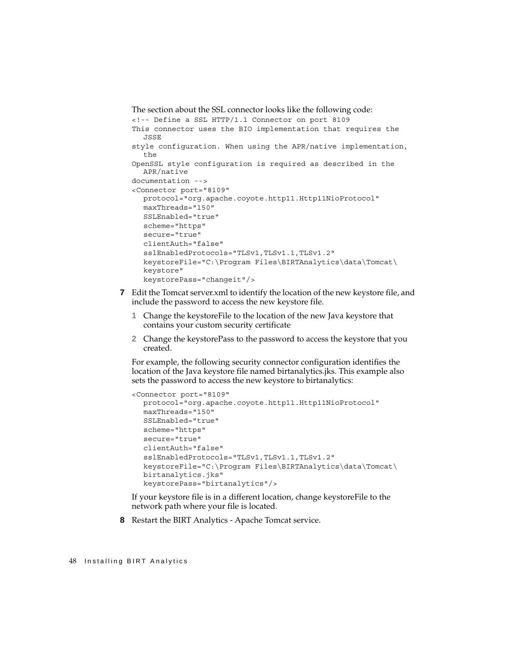```
The section about the SSL connector looks like the following code:
<!-- Define a SSL HTTP/1.1 Connector on port 8109
This connector uses the BIO implementation that requires the 
  JSSE
style configuration. When using the APR/native implementation, 
  the
OpenSSL style configuration is required as described in the 
  APR/native
documentation -->
<Connector port="8109" 
  protocol="org.apache.coyote.http11.Http11NioProtocol"
  maxThreads="150"
  SSLEnabled="true"
  scheme="https"
  secure="true"
  clientAuth="false"
  sslEnabledProtocols="TLSv1,TLSv1.1,TLSv1.2"
  keystoreFile="C:\Program Files\BIRTAnalytics\data\Tomcat\
  keystore" 
  keystorePass="changeit"/>
```
- **7** Edit the Tomcat server.xml to identify the location of the new keystore file, and include the password to access the new keystore file.
	- **1** Change the keystoreFile to the location of the new Java keystore that contains your custom security certificate
	- **2** Change the keystorePass to the password to access the keystore that you created.

For example, the following security connector configuration identifies the location of the Java keystore file named birtanalytics.jks. This example also sets the password to access the new keystore to birtanalytics:

```
<Connector port="8109" 
  protocol="org.apache.coyote.http11.Http11NioProtocol"
  maxThreads="150"
  SSLEnabled="true"
  scheme="https"
  secure="true"
  clientAuth="false"
  sslEnabledProtocols="TLSv1,TLSv1.1,TLSv1.2"
  keystoreFile="C:\Program Files\BIRTAnalytics\data\Tomcat\
  birtanalytics.jks"
  keystorePass="birtanalytics"/>
```
If your keystore file is in a different location, change keystoreFile to the network path where your file is located.

**8** Restart the BIRT Analytics - Apache Tomcat service.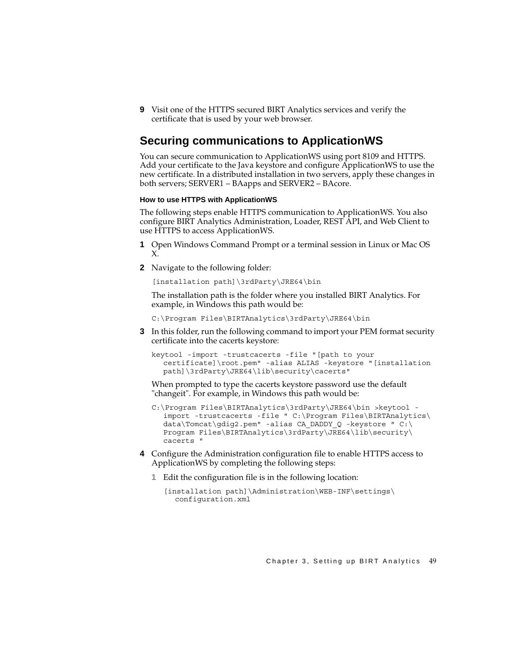**9** Visit one of the HTTPS secured BIRT Analytics services and verify the certificate that is used by your web browser.

#### **Securing communications to ApplicationWS**

You can secure communication to ApplicationWS using port 8109 and HTTPS. Add your certificate to the Java keystore and configure ApplicationWS to use the new certificate. In a distributed installation in two servers, apply these changes in both servers; SERVER1 – BAapps and SERVER2 – BAcore.

#### **How to use HTTPS with ApplicationWS**

The following steps enable HTTPS communication to ApplicationWS. You also configure BIRT Analytics Administration, Loader, REST API, and Web Client to use HTTPS to access ApplicationWS.

- **1** Open Windows Command Prompt or a terminal session in Linux or Mac OS X.
- **2** Navigate to the following folder:

[installation path]\3rdParty\JRE64\bin

The installation path is the folder where you installed BIRT Analytics. For example, in Windows this path would be:

C:\Program Files\BIRTAnalytics\3rdParty\JRE64\bin

**3** In this folder, run the following command to import your PEM format security certificate into the cacerts keystore:

```
keytool -import -trustcacerts -file "[path to your 
  certificate]\root.pem" -alias ALIAS -keystore "[installation 
  path]\3rdParty\JRE64\lib\security\cacerts"
```
When prompted to type the cacerts keystore password use the default "changeit". For example, in Windows this path would be:

- C:\Program Files\BIRTAnalytics\3rdParty\JRE64\bin >keytool import -trustcacerts -file " C:\Program Files\BIRTAnalytics\ data\Tomcat\gdig2.pem" -alias CA\_DADDY\_Q -keystore " C:\ Program Files\BIRTAnalytics\3rdParty\JRE64\lib\security\ cacerts "
- **4** Configure the Administration configuration file to enable HTTPS access to ApplicationWS by completing the following steps:
	- **1** Edit the configuration file is in the following location:

```
[installation path]\Administration\WEB-INF\settings\
  configuration.xml
```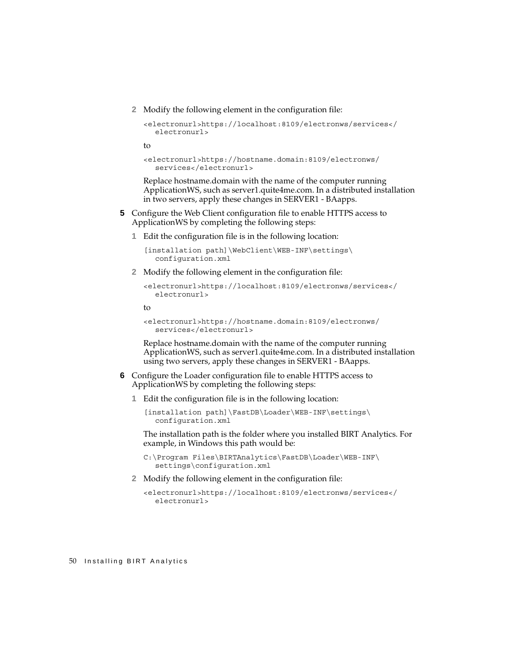**2** Modify the following element in the configuration file:

```
<electronurl>https://localhost:8109/electronws/services</
  electronurl>
```
to

```
<electronurl>https://hostname.domain:8109/electronws/
  services</electronurl>
```
Replace hostname.domain with the name of the computer running ApplicationWS, such as server1.quite4me.com. In a distributed installation in two servers, apply these changes in SERVER1 - BAapps.

- **5** Configure the Web Client configuration file to enable HTTPS access to ApplicationWS by completing the following steps:
	- **1** Edit the configuration file is in the following location:

[installation path]\WebClient\WEB-INF\settings\ configuration.xml

**2** Modify the following element in the configuration file:

```
<electronurl>https://localhost:8109/electronws/services</
  electronurl>
```
to

```
<electronurl>https://hostname.domain:8109/electronws/
  services</electronurl>
```
Replace hostname.domain with the name of the computer running ApplicationWS, such as server1.quite4me.com. In a distributed installation using two servers, apply these changes in SERVER1 - BAapps.

- **6** Configure the Loader configuration file to enable HTTPS access to ApplicationWS by completing the following steps:
	- **1** Edit the configuration file is in the following location:

```
[installation path]\FastDB\Loader\WEB-INF\settings\
  configuration.xml
```
The installation path is the folder where you installed BIRT Analytics. For example, in Windows this path would be:

```
C:\Program Files\BIRTAnalytics\FastDB\Loader\WEB-INF\
  settings\configuration.xml
```
**2** Modify the following element in the configuration file:

```
<electronurl>https://localhost:8109/electronws/services</
  electronurl>
```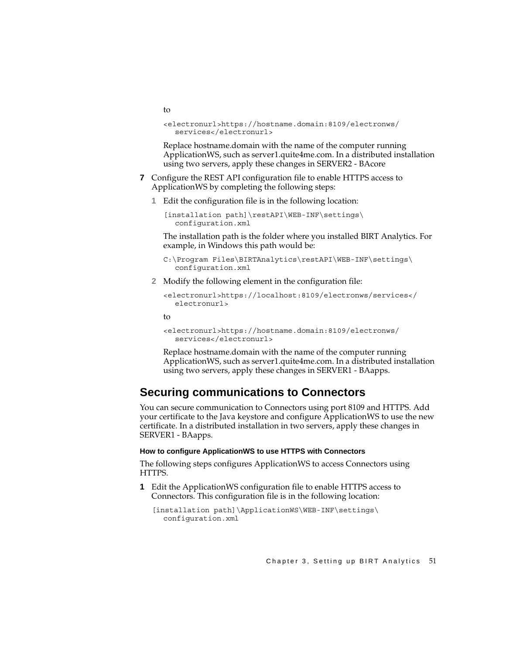to

```
<electronurl>https://hostname.domain:8109/electronws/
  services</electronurl>
```
Replace hostname.domain with the name of the computer running ApplicationWS, such as server1.quite4me.com. In a distributed installation using two servers, apply these changes in SERVER2 - BAcore

- **7** Configure the REST API configuration file to enable HTTPS access to ApplicationWS by completing the following steps:
	- **1** Edit the configuration file is in the following location:

```
[installation path]\restAPI\WEB-INF\settings\
  configuration.xml
```
The installation path is the folder where you installed BIRT Analytics. For example, in Windows this path would be:

```
C:\Program Files\BIRTAnalytics\restAPI\WEB-INF\settings\
  configuration.xml
```
**2** Modify the following element in the configuration file:

```
<electronurl>https://localhost:8109/electronws/services</
  electronurl>
```
to

```
<electronurl>https://hostname.domain:8109/electronws/
  services</electronurl>
```
Replace hostname.domain with the name of the computer running ApplicationWS, such as server1.quite4me.com. In a distributed installation using two servers, apply these changes in SERVER1 - BAapps.

#### **Securing communications to Connectors**

You can secure communication to Connectors using port 8109 and HTTPS. Add your certificate to the Java keystore and configure ApplicationWS to use the new certificate. In a distributed installation in two servers, apply these changes in SERVER1 - BAapps.

#### **How to configure ApplicationWS to use HTTPS with Connectors**

The following steps configures ApplicationWS to access Connectors using HTTPS.

**1** Edit the ApplicationWS configuration file to enable HTTPS access to Connectors. This configuration file is in the following location:

```
[installation path]\ApplicationWS\WEB-INF\settings\
  configuration.xml
```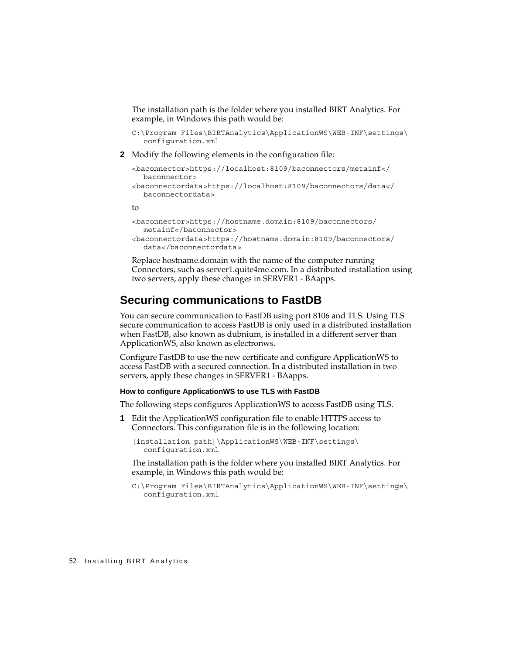The installation path is the folder where you installed BIRT Analytics. For example, in Windows this path would be:

```
C:\Program Files\BIRTAnalytics\ApplicationWS\WEB-INF\settings\
  configuration.xml
```
**2** Modify the following elements in the configuration file:

```
<baconnector>https://localhost:8109/baconnectors/metainf</
  baconnector>
<baconnectordata>https://localhost:8109/baconnectors/data</
  baconnectordata>
```
to

```
<baconnector>https://hostname.domain:8109/baconnectors/
  metainf</baconnector>
```

```
<baconnectordata>https://hostname.domain:8109/baconnectors/
  data</baconnectordata>
```
Replace hostname.domain with the name of the computer running Connectors, such as server1.quite4me.com. In a distributed installation using two servers, apply these changes in SERVER1 - BAapps.

#### **Securing communications to FastDB**

You can secure communication to FastDB using port 8106 and TLS. Using TLS secure communication to access FastDB is only used in a distributed installation when FastDB, also known as dubnium, is installed in a different server than ApplicationWS, also known as electronws.

Configure FastDB to use the new certificate and configure ApplicationWS to access FastDB with a secured connection. In a distributed installation in two servers, apply these changes in SERVER1 - BAapps.

#### **How to configure ApplicationWS to use TLS with FastDB**

The following steps configures ApplicationWS to access FastDB using TLS.

**1** Edit the ApplicationWS configuration file to enable HTTPS access to Connectors. This configuration file is in the following location:

```
[installation path]\ApplicationWS\WEB-INF\settings\
  configuration.xml
```
The installation path is the folder where you installed BIRT Analytics. For example, in Windows this path would be:

C:\Program Files\BIRTAnalytics\ApplicationWS\WEB-INF\settings\ configuration.xml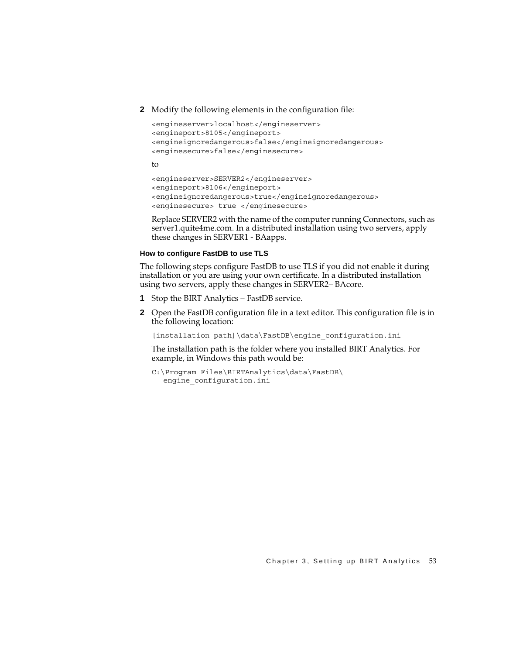**2** Modify the following elements in the configuration file:

```
<engineserver>localhost</engineserver>
<engineport>8105</engineport>
<engineignoredangerous>false</engineignoredangerous> 
<enginesecure>false</enginesecure>
```
to

```
<engineserver>SERVER2</engineserver>
<engineport>8106</engineport>
<engineignoredangerous>true</engineignoredangerous>
<enginesecure> true </enginesecure>
```
Replace SERVER2 with the name of the computer running Connectors, such as server1.quite4me.com. In a distributed installation using two servers, apply these changes in SERVER1 - BAapps.

#### **How to configure FastDB to use TLS**

The following steps configure FastDB to use TLS if you did not enable it during installation or you are using your own certificate. In a distributed installation using two servers, apply these changes in SERVER2– BAcore.

- **1** Stop the BIRT Analytics FastDB service.
- **2** Open the FastDB configuration file in a text editor. This configuration file is in the following location:

[installation path]\data\FastDB\engine\_configuration.ini

The installation path is the folder where you installed BIRT Analytics. For example, in Windows this path would be:

```
C:\Program Files\BIRTAnalytics\data\FastDB\
  engine_configuration.ini
```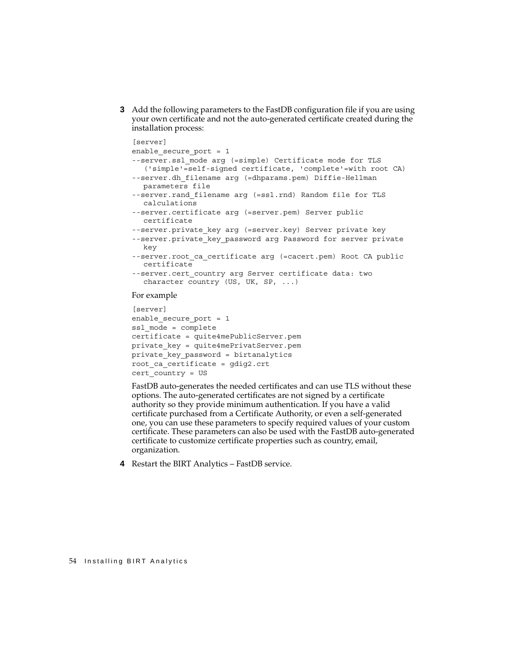**3** Add the following parameters to the FastDB configuration file if you are using your own certificate and not the auto-generated certificate created during the installation process:

```
[server]
enable_secure_port = 1
--server.ssl_mode arg (=simple) Certificate mode for TLS 
   ('simple'=self-signed certificate, 'complete'=with root CA)
--server.dh filename arg (=dhparams.pem) Diffie-Hellman
  parameters file
--server.rand_filename arg (=ssl.rnd) Random file for TLS 
  calculations
--server.certificate arg (=server.pem) Server public 
  certificate
--server.private key arg (=server.key) Server private key
--server.private key password arg Password for server private
  key
--server.root ca certificate arg (=cacert.pem) Root CA public
  certificate
--server.cert country arg Server certificate data: two
  character country (US, UK, SP, ...)
For example
```

```
[server]
enable secure port = 1
ssl_mode = complete
certificate = quite4mePublicServer.pem
private_key = quite4mePrivatServer.pem
private key password = birtanalytics
root_ca_certificate = gdig2.crt
cert_country = US
```
FastDB auto-generates the needed certificates and can use TLS without these options. The auto-generated certificates are not signed by a certificate authority so they provide minimum authentication. If you have a valid certificate purchased from a Certificate Authority, or even a self-generated one, you can use these parameters to specify required values of your custom certificate. These parameters can also be used with the FastDB auto-generated certificate to customize certificate properties such as country, email, organization.

**4** Restart the BIRT Analytics – FastDB service.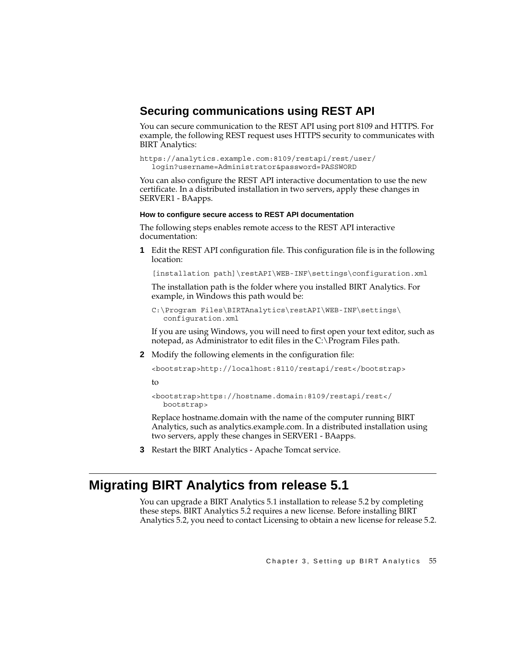#### **Securing communications using REST API**

You can secure communication to the REST API using port 8109 and HTTPS. For example, the following REST request uses HTTPS security to communicates with BIRT Analytics:

```
https://analytics.example.com:8109/restapi/rest/user/
  login?username=Administrator&password=PASSWORD
```
You can also configure the REST API interactive documentation to use the new certificate. In a distributed installation in two servers, apply these changes in SERVER1 - BAapps.

#### **How to configure secure access to REST API documentation**

The following steps enables remote access to the REST API interactive documentation:

**1** Edit the REST API configuration file. This configuration file is in the following location:

[installation path]\restAPI\WEB-INF\settings\configuration.xml

The installation path is the folder where you installed BIRT Analytics. For example, in Windows this path would be:

```
C:\Program Files\BIRTAnalytics\restAPI\WEB-INF\settings\
  configuration.xml
```
If you are using Windows, you will need to first open your text editor, such as notepad, as Administrator to edit files in the C:\Program Files path.

**2** Modify the following elements in the configuration file:

```
<bootstrap>http://localhost:8110/restapi/rest</bootstrap>
```
to

```
<bootstrap>https://hostname.domain:8109/restapi/rest</
  bootstrap>
```
Replace hostname.domain with the name of the computer running BIRT Analytics, such as analytics.example.com. In a distributed installation using two servers, apply these changes in SERVER1 - BAapps.

**3** Restart the BIRT Analytics - Apache Tomcat service.

## <span id="page-62-0"></span>**Migrating BIRT Analytics from release 5.1**

You can upgrade a BIRT Analytics 5.1 installation to release 5.2 by completing these steps. BIRT Analytics 5.2 requires a new license. Before installing BIRT Analytics 5.2, you need to contact Licensing to obtain a new license for release 5.2.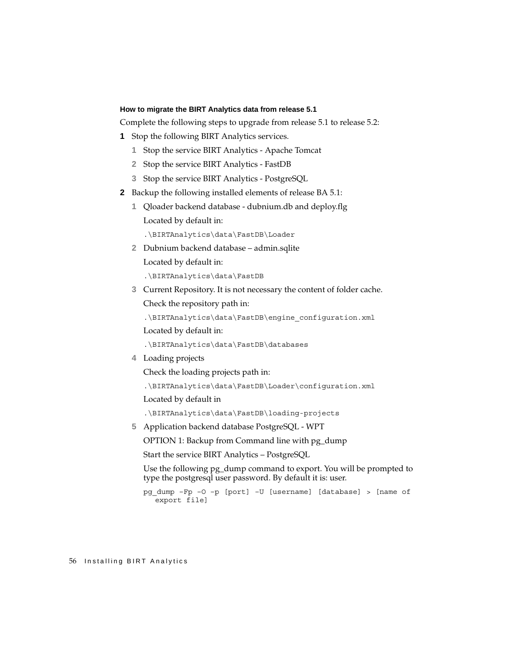#### <span id="page-63-0"></span>**How to migrate the BIRT Analytics data from release 5.1**

Complete the following steps to upgrade from release 5.1 to release 5.2:

- <span id="page-63-1"></span>**1** Stop the following BIRT Analytics services.
	- **1** Stop the service BIRT Analytics Apache Tomcat
	- **2** Stop the service BIRT Analytics FastDB
	- **3** Stop the service BIRT Analytics PostgreSQL
- **2** Backup the following installed elements of release BA 5.1:
	- **1** Qloader backend database dubnium.db and deploy.flg Located by default in:

.\BIRTAnalytics\data\FastDB\Loader

**2** Dubnium backend database – admin.sqlite Located by default in:

.\BIRTAnalytics\data\FastDB

**3** Current Repository. It is not necessary the content of folder cache. Check the repository path in:

.\BIRTAnalytics\data\FastDB\engine\_configuration.xml

Located by default in:

.\BIRTAnalytics\data\FastDB\databases

**4** Loading projects

Check the loading projects path in:

.\BIRTAnalytics\data\FastDB\Loader\configuration.xml

Located by default in

.\BIRTAnalytics\data\FastDB\loading-projects

**5** Application backend database PostgreSQL - WPT

OPTION 1: Backup from Command line with pg\_dump

Start the service BIRT Analytics – PostgreSQL

Use the following pg\_dump command to export. You will be prompted to type the postgresql user password. By default it is: user.

pg\_dump –Fp –O –p [port] –U [username] [database] > [name of export file]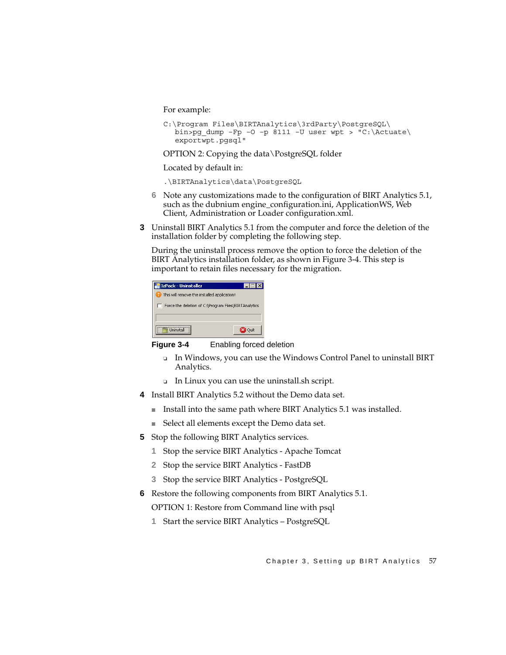For example:

```
C:\Program Files\BIRTAnalytics\3rdParty\PostgreSQL\
  bin>pg dump –Fp –O –p 8111 –U user wpt > "C:\Actuate\
  exportwpt.pgsql"
```
OPTION 2: Copying the data\PostgreSQL folder

Located by default in:

.\BIRTAnalytics\data\PostgreSQL

- **6** Note any customizations made to the configuration of BIRT Analytics 5.1, such as the dubnium engine\_configuration.ini, ApplicationWS, Web Client, Administration or Loader configuration.xml.
- **3** Uninstall BIRT Analytics 5.1 from the computer and force the deletion of the installation folder by completing the following step.

During the uninstall process remove the option to force the deletion of the BIRT Analytics installation folder, as shown in [Figure 3-4.](#page-64-0) This step is important to retain files necessary for the migration.

| IzPack - Uninstaller                                 |  |  |  |
|------------------------------------------------------|--|--|--|
| This will remove the installed application!          |  |  |  |
| Force the deletion of C:\Program Files\BIRTAnalytics |  |  |  |
|                                                      |  |  |  |
| Lininstall                                           |  |  |  |

<span id="page-64-0"></span>

- ❏ In Windows, you can use the Windows Control Panel to uninstall BIRT Analytics.
- ❏ In Linux you can use the uninstall.sh script.
- **4** Install BIRT Analytics 5.2 without the Demo data set.
	- Install into the same path where BIRT Analytics 5.1 was installed.
	- Select all elements except the Demo data set.
- <span id="page-64-1"></span>**5** Stop the following BIRT Analytics services.
	- **1** Stop the service BIRT Analytics Apache Tomcat
	- **2** Stop the service BIRT Analytics FastDB
	- **3** Stop the service BIRT Analytics PostgreSQL
- **6** Restore the following components from BIRT Analytics 5.1.

OPTION 1: Restore from Command line with psql

**1** Start the service BIRT Analytics – PostgreSQL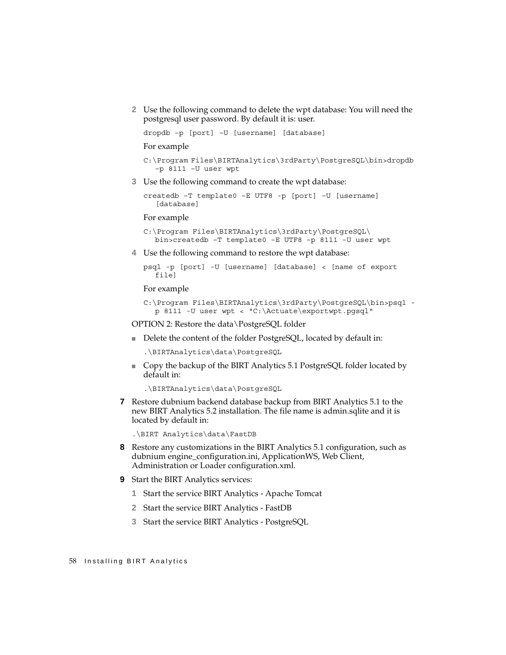**2** Use the following command to delete the wpt database: You will need the postgresql user password. By default it is: user.

dropdb –p [port] –U [username] [database]

For example

```
C:\Program Files\BIRTAnalytics\3rdParty\PostgreSQL\bin>dropdb 
  –p 8111 –U user wpt
```
**3** Use the following command to create the wpt database:

```
createdb –T template0 –E UTF8 -p [port] –U [username] 
   [database]
```
For example

```
C:\Program Files\BIRTAnalytics\3rdParty\PostgreSQL\
  bin>createdb –T template0 –E UTF8 –p 8111 –U user wpt
```
**4** Use the following command to restore the wpt database:

```
psql -p [port] -U [username] [database] < [name of export 
  file]
```
For example

```
C:\Program Files\BIRTAnalytics\3rdParty\PostgreSQL\bin>psql -
  p 8111 -U user wpt < "C:\Actuate\exportwpt.pgsql"
```
OPTION 2: Restore the data\PostgreSQL folder

■ Delete the content of the folder PostgreSQL, located by default in:

```
.\BIRTAnalytics\data\PostgreSQL
```
■ Copy the backup of the BIRT Analytics 5.1 PostgreSQL folder located by default in:

.\BIRTAnalytics\data\PostgreSQL

**7** Restore dubnium backend database backup from BIRT Analytics 5.1 to the new BIRT Analytics 5.2 installation. The file name is admin.sqlite and it is located by default in:

```
.\BIRT Analytics\data\FastDB
```
- **8** Restore any customizations in the BIRT Analytics 5.1 configuration, such as dubnium engine\_configuration.ini, ApplicationWS, Web Client, Administration or Loader configuration.xml.
- **9** Start the BIRT Analytics services:
	- **1** Start the service BIRT Analytics Apache Tomcat
	- **2** Start the service BIRT Analytics FastDB
	- **3** Start the service BIRT Analytics PostgreSQL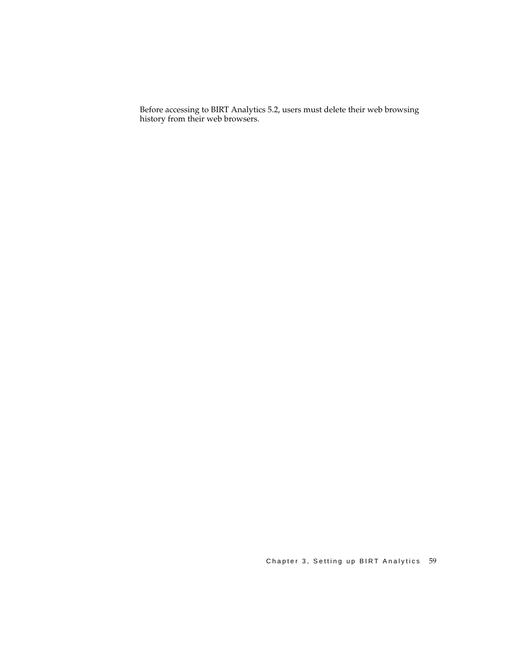Before accessing to BIRT Analytics 5.2, users must delete their web browsing history from their web browsers.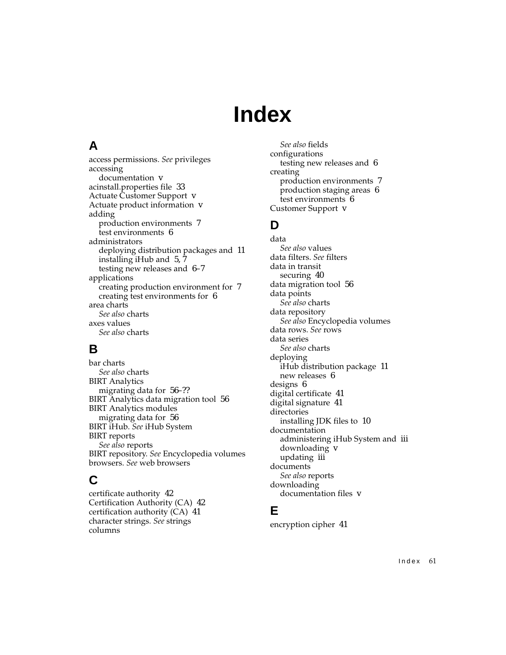## **Index**

## **A**

[access permissions.](#page-0-0) *See* privileges accessing documentation [v](#page-6-0) acinstall.properties file [33](#page-40-0) Actuate Customer Support [v](#page-6-1) Actuate product information [v](#page-6-2) adding production environments [7](#page-14-0) test environments [6](#page-13-0) administrators deploying distribution [packages and](#page-14-1) [11](#page-18-0) installing iHub and [5,](#page-12-0) 7 testing new releases and [6](#page-13-1)[–7](#page-14-2) applications creating production environment for [7](#page-14-0) creating test environments for [6](#page-13-2) area charts *[See also](#page-0-0)* charts axes values *[See also](#page-0-0)* charts

## **B**

bar charts *[See also](#page-0-0)* charts BIRT Analytics migrating data for [56–](#page-63-0)?? BIRT Analytics data migration tool [56](#page-63-0) BIRT Analytics modules migrating data for [56](#page-63-0) [BIRT iHub.](#page-0-0) *See* iHub System BIRT reports *[See also](#page-0-0)* reports [BIRT repository.](#page-0-0) *See* Encyclopedia volumes [browsers.](#page-0-0) *See* web browsers

## **C**

certificate authority [42](#page-49-1) Certification Authority (CA) [42](#page-49-2) certification authority (CA) [41](#page-48-0) [character strings.](#page-0-0) *See* strings columns

*[See also](#page-0-0)* fields configurations testing new releases and [6](#page-13-3) creating production environments [7](#page-14-3) production staging areas [6](#page-13-4) test environments [6](#page-13-2) Customer Support [v](#page-6-1)

## **D**

data *[See also](#page-0-0)* values [data filters.](#page-0-0) *See* filters data in transit securing [40](#page-47-1) data migration tool [56](#page-63-0) data points *[See also](#page-0-0)* charts data repository *[See also](#page-0-0)* Encyclopedia volumes [data rows.](#page-0-0) *See* rows data series *[See also](#page-0-0)* charts deploying iHub distribu[tion package](#page-13-5) [11](#page-18-0) new releases 6 designs [6](#page-13-6) digital certificate [41](#page-48-1) digital signature [41](#page-48-2) directories installing JDK files to [10](#page-17-0) documentation administering [iHub System and](#page-6-0) [iii](#page-4-0) downloading v updating [iii](#page-4-1) documents *[See also](#page-0-0)* reports downloading documentation files [v](#page-6-0)

#### **E**

encryption cipher [41](#page-48-3)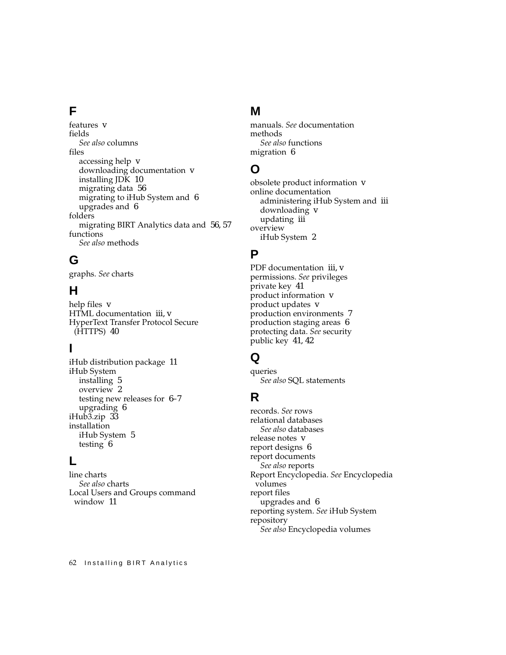## **F**

features [v](#page-6-3) fields *[See also](#page-0-0)* columns files accessing help [v](#page-6-0) downloading documentation [v](#page-6-0) installing JDK [10](#page-17-0) migrating data [56](#page-63-0) migrating to i[Hub System and](#page-13-6) [6](#page-13-6) upgrades and 6 folders migrating BIRT Analytics data and [56,](#page-63-1) [57](#page-64-1) functions *[See also](#page-0-0)* methods

## **G**

[graphs.](#page-0-0) *See* charts

## **H**

help files [v](#page-6-0) HTML documentation [iii](#page-4-2), [v](#page-6-4) HyperText [Transfer Protocol Secure](#page-47-2)  (HTTPS) 40

## **I**

iHub distribution package [11](#page-18-0) iHub System installing [5](#page-12-1) overview [2](#page-9-0) testing new [releases for](#page-13-6) [6](#page-13-1)[–7](#page-14-2) upgrading 6 iHub3.zip [33](#page-40-0) installation iHub System [5](#page-12-1) testing [6](#page-13-7)

#### **L**

line charts *[See also](#page-0-0)* charts Local User[s and Groups command](#page-18-1)  window 11

#### **M**

[manuals.](#page-0-0) *See* documentation methods *[See also](#page-0-0)* functions migration [6](#page-13-7)

#### **O**

obsolete product information [v](#page-6-2) online documentation administering [iHub System and](#page-6-0) [iii](#page-4-0) downloading v updating [iii](#page-4-1) overview iHub System [2](#page-9-0)

#### **P**

PDF documentation [iii,](#page-4-2) [v](#page-6-4) [permissions.](#page-0-0) *See* privileges private key [41](#page-48-4) product information [v](#page-6-2) product updates [v](#page-6-5) production environments [7](#page-14-3) production staging areas [6](#page-13-4) [protecting data.](#page-0-0) *See* security public key [41](#page-48-5), [42](#page-49-3)

#### **Q**

queries *[See also](#page-0-0)* SQL statements

#### **R**

[records.](#page-0-0) *See* rows relational databases *[See also](#page-0-0)* databases release notes [v](#page-6-3) report designs [6](#page-13-6) report documents *[See also](#page-0-0)* reports [Report Encyclopedia.](#page-0-0) *See* Encyclopedia volumes report files upgrades and [6](#page-13-6) [reporting system.](#page-0-0) *See* iHub System repository *[See also](#page-0-0)* Encyclopedia volumes